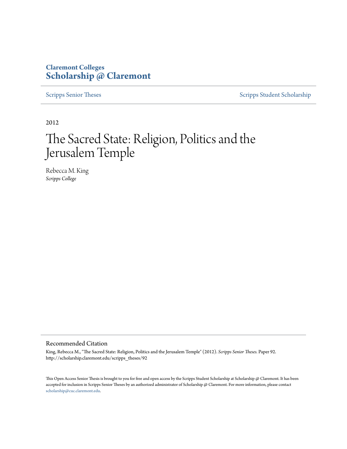# **Claremont Colleges [Scholarship @ Claremont](http://scholarship.claremont.edu)**

[Scripps Senior Theses](http://scholarship.claremont.edu/scripps_theses) [Scripps Student Scholarship](http://scholarship.claremont.edu/scripps_student)

2012

# The Sacred State: Religion, Politics and the Jerusalem Temple

Rebecca M. King *Scripps College*

#### Recommended Citation

King, Rebecca M., "The Sacred State: Religion, Politics and the Jerusalem Temple" (2012). *Scripps Senior Theses.* Paper 92. http://scholarship.claremont.edu/scripps\_theses/92

This Open Access Senior Thesis is brought to you for free and open access by the Scripps Student Scholarship at Scholarship @ Claremont. It has been accepted for inclusion in Scripps Senior Theses by an authorized administrator of Scholarship @ Claremont. For more information, please contact [scholarship@cuc.claremont.edu.](mailto:scholarship@cuc.claremont.edu)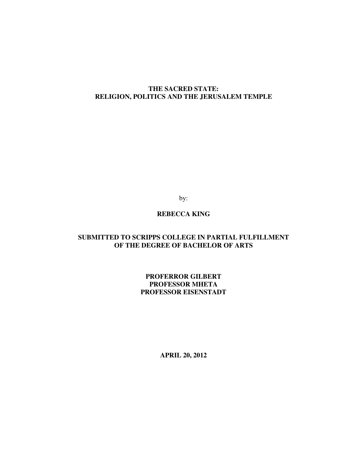## **THE SACRED STATE: RELIGION, POLITICS AND THE JERUSALEM TEMPLE**

by:

## **REBECCA KING**

## **SUBMITTED TO SCRIPPS COLLEGE IN PARTIAL FULFILLMENT OF THE DEGREE OF BACHELOR OF ARTS**

### **PROFERROR GILBERT PROFESSOR MHETA PROFESSOR EISENSTADT**

**APRIL 20, 2012**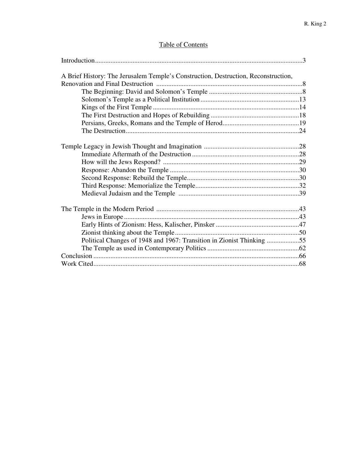# Table of Contents

| A Brief History: The Jerusalem Temple's Construction, Destruction, Reconstruction, |  |
|------------------------------------------------------------------------------------|--|
|                                                                                    |  |
|                                                                                    |  |
|                                                                                    |  |
|                                                                                    |  |
|                                                                                    |  |
|                                                                                    |  |
|                                                                                    |  |
|                                                                                    |  |
|                                                                                    |  |
|                                                                                    |  |
|                                                                                    |  |
|                                                                                    |  |
|                                                                                    |  |
|                                                                                    |  |
|                                                                                    |  |
|                                                                                    |  |
|                                                                                    |  |
|                                                                                    |  |
|                                                                                    |  |
|                                                                                    |  |
| Political Changes of 1948 and 1967: Transition in Zionist Thinking 55              |  |
|                                                                                    |  |
|                                                                                    |  |
|                                                                                    |  |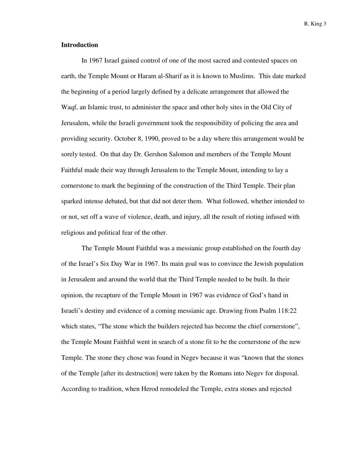#### **Introduction**

 In 1967 Israel gained control of one of the most sacred and contested spaces on earth, the Temple Mount or Haram al-Sharif as it is known to Muslims. This date marked the beginning of a period largely defined by a delicate arrangement that allowed the Waqf, an Islamic trust, to administer the space and other holy sites in the Old City of Jerusalem, while the Israeli government took the responsibility of policing the area and providing security. October 8, 1990, proved to be a day where this arrangement would be sorely tested. On that day Dr. Gershon Salomon and members of the Temple Mount Faithful made their way through Jerusalem to the Temple Mount, intending to lay a cornerstone to mark the beginning of the construction of the Third Temple. Their plan sparked intense debated, but that did not deter them. What followed, whether intended to or not, set off a wave of violence, death, and injury, all the result of rioting infused with religious and political fear of the other.

The Temple Mount Faithful was a messianic group established on the fourth day of the Israel's Six Day War in 1967. Its main goal was to convince the Jewish population in Jerusalem and around the world that the Third Temple needed to be built. In their opinion, the recapture of the Temple Mount in 1967 was evidence of God's hand in Israeli's destiny and evidence of a coming messianic age. Drawing from Psalm 118:22 which states, "The stone which the builders rejected has become the chief cornerstone", the Temple Mount Faithful went in search of a stone fit to be the cornerstone of the new Temple. The stone they chose was found in Negev because it was "known that the stones of the Temple [after its destruction] were taken by the Romans into Negev for disposal. According to tradition, when Herod remodeled the Temple, extra stones and rejected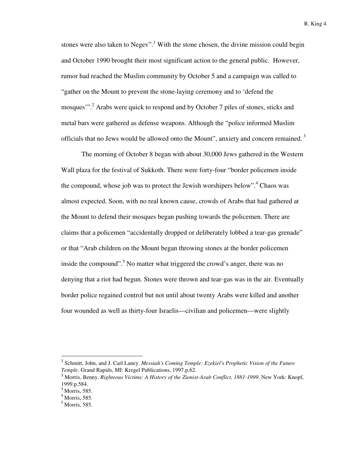stones were also taken to Negev".<sup>1</sup> With the stone chosen, the divine mission could begin and October 1990 brought their most significant action to the general public. However, rumor had reached the Muslim community by October 5 and a campaign was called to "gather on the Mount to prevent the stone-laying ceremony and to 'defend the mosques"<sup>2</sup> Arabs were quick to respond and by October 7 piles of stones, sticks and metal bars were gathered as defense weapons. Although the "police informed Muslim officials that no Jews would be allowed onto the Mount", anxiety and concern remained.<sup>3</sup>

The morning of October 8 began with about 30,000 Jews gathered in the Western Wall plaza for the festival of Sukkoth. There were forty-four "border policemen inside the compound, whose job was to protect the Jewish worshipers below".<sup>4</sup> Chaos was almost expected. Soon, with no real known cause, crowds of Arabs that had gathered at the Mount to defend their mosques began pushing towards the policemen. There are claims that a policemen "accidentally dropped or deliberately lobbed a tear-gas grenade" or that "Arab children on the Mount began throwing stones at the border policemen inside the compound".<sup>5</sup> No matter what triggered the crowd's anger, there was no denying that a riot had begun. Stones were thrown and tear-gas was in the air. Eventually border police regained control but not until about twenty Arabs were killed and another four wounded as well as thirty-four Israelis—civilian and policemen—were slightly

<sup>&</sup>lt;sup>1</sup> Schmitt, John, and J. Carl Laney. *Messiah's Coming Temple: Ezekiel's Prophetic Vision of the Future Temple*. Grand Rapids, MI: Kregel Publications, 1997.p.62.

<sup>&</sup>lt;sup>2</sup> Morris, Benny. *Righteous Victims: A History of the Zionist-Arab Conflict, 1881-1999*. New York: Knopf, 1999.p.584.

<sup>&</sup>lt;sup>3</sup> Morris, 585.

<sup>4</sup> Morris, 585.

 $<sup>5</sup>$  Morris, 585.</sup>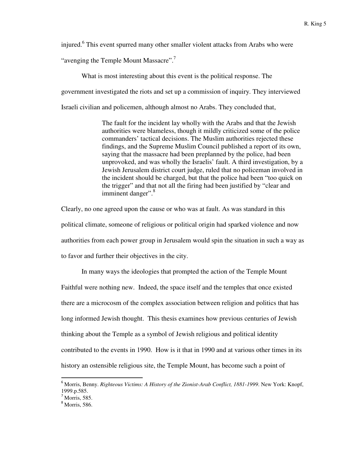injured.<sup>6</sup> This event spurred many other smaller violent attacks from Arabs who were

"avenging the Temple Mount Massacre".<sup>7</sup>

What is most interesting about this event is the political response. The

government investigated the riots and set up a commission of inquiry. They interviewed

Israeli civilian and policemen, although almost no Arabs. They concluded that,

The fault for the incident lay wholly with the Arabs and that the Jewish authorities were blameless, though it mildly criticized some of the police commanders' tactical decisions. The Muslim authorities rejected these findings, and the Supreme Muslim Council published a report of its own, saying that the massacre had been preplanned by the police, had been unprovoked, and was wholly the Israelis' fault. A third investigation, by a Jewish Jerusalem district court judge, ruled that no policeman involved in the incident should be charged, but that the police had been "too quick on the trigger" and that not all the firing had been justified by "clear and imminent danger".<sup>8</sup>

Clearly, no one agreed upon the cause or who was at fault. As was standard in this political climate, someone of religious or political origin had sparked violence and now authorities from each power group in Jerusalem would spin the situation in such a way as to favor and further their objectives in the city.

In many ways the ideologies that prompted the action of the Temple Mount Faithful were nothing new. Indeed, the space itself and the temples that once existed there are a microcosm of the complex association between religion and politics that has long informed Jewish thought. This thesis examines how previous centuries of Jewish thinking about the Temple as a symbol of Jewish religious and political identity contributed to the events in 1990. How is it that in 1990 and at various other times in its history an ostensible religious site, the Temple Mount, has become such a point of

<sup>6</sup> Morris, Benny. *Righteous Victims: A History of the Zionist-Arab Conflict, 1881-1999*. New York: Knopf, 1999.p.585.

<sup>7</sup> Morris, 585.

 $8 \text{ Morris}$ , 586.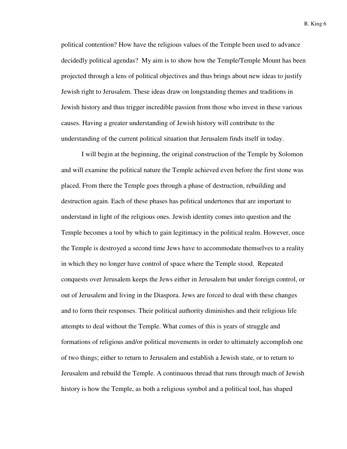political contention? How have the religious values of the Temple been used to advance decidedly political agendas? My aim is to show how the Temple/Temple Mount has been projected through a lens of political objectives and thus brings about new ideas to justify Jewish right to Jerusalem. These ideas draw on longstanding themes and traditions in Jewish history and thus trigger incredible passion from those who invest in these various causes. Having a greater understanding of Jewish history will contribute to the understanding of the current political situation that Jerusalem finds itself in today.

I will begin at the beginning, the original construction of the Temple by Solomon and will examine the political nature the Temple achieved even before the first stone was placed. From there the Temple goes through a phase of destruction, rebuilding and destruction again. Each of these phases has political undertones that are important to understand in light of the religious ones. Jewish identity comes into question and the Temple becomes a tool by which to gain legitimacy in the political realm. However, once the Temple is destroyed a second time Jews have to accommodate themselves to a reality in which they no longer have control of space where the Temple stood. Repeated conquests over Jerusalem keeps the Jews either in Jerusalem but under foreign control, or out of Jerusalem and living in the Diaspora. Jews are forced to deal with these changes and to form their responses. Their political authority diminishes and their religious life attempts to deal without the Temple. What comes of this is years of struggle and formations of religious and/or political movements in order to ultimately accomplish one of two things; either to return to Jerusalem and establish a Jewish state, or to return to Jerusalem and rebuild the Temple. A continuous thread that runs through much of Jewish history is how the Temple, as both a religious symbol and a political tool, has shaped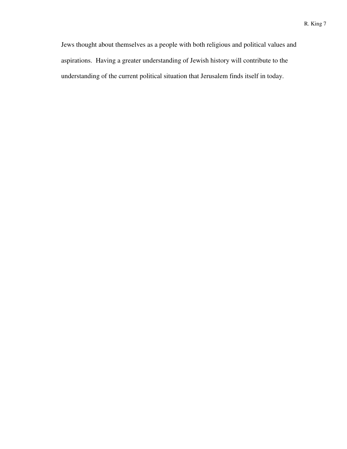Jews thought about themselves as a people with both religious and political values and aspirations. Having a greater understanding of Jewish history will contribute to the understanding of the current political situation that Jerusalem finds itself in today.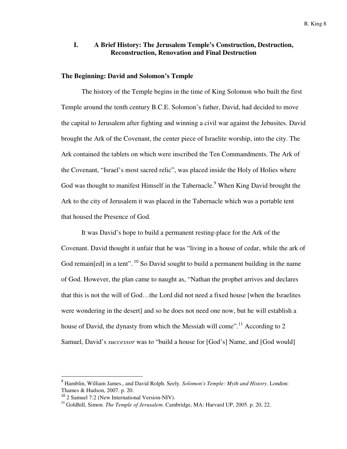#### **I. A Brief History: The Jerusalem Temple's Construction, Destruction, Reconstruction, Renovation and Final Destruction**

#### **The Beginning: David and Solomon's Temple**

The history of the Temple begins in the time of King Solomon who built the first Temple around the tenth century B.C.E. Solomon's father, David, had decided to move the capital to Jerusalem after fighting and winning a civil war against the Jebusites. David brought the Ark of the Covenant, the center piece of Israelite worship, into the city. The Ark contained the tablets on which were inscribed the Ten Commandments. The Ark of the Covenant, "Israel's most sacred relic", was placed inside the Holy of Holies where God was thought to manifest Himself in the Tabernacle.<sup>9</sup> When King David brought the Ark to the city of Jerusalem it was placed in the Tabernacle which was a portable tent that housed the Presence of God.

It was David's hope to build a permanent resting-place for the Ark of the Covenant. David thought it unfair that he was "living in a house of cedar, while the ark of God remain[ed] in a tent".  $^{10}$  So David sought to build a permanent building in the name of God. However, the plan came to naught as, "Nathan the prophet arrives and declares that this is not the will of God…the Lord did not need a fixed house [when the Israelites were wondering in the desert] and so he does not need one now, but he will establish a house of David, the dynasty from which the Messiah will come".<sup>11</sup> According to 2 Samuel, David's *successor* was to "build a house for [God's] Name, and [God would]

<sup>9</sup> Hamblin, William James., and David Rolph. Seely. *Solomon's Temple: Myth and History*. London: Thames & Hudson, 2007. p. 20.

<sup>&</sup>lt;sup>10</sup> 2 Samuel 7:2 (New International Version-NIV).

<sup>11</sup> Goldhill, Simon. *The Temple of Jerusalem*. Cambridge, MA: Harvard UP, 2005. p. 20, 22.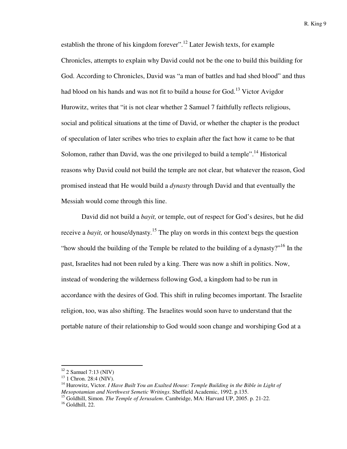establish the throne of his kingdom forever".<sup>12</sup> Later Jewish texts, for example Chronicles, attempts to explain why David could not be the one to build this building for God. According to Chronicles, David was "a man of battles and had shed blood" and thus had blood on his hands and was not fit to build a house for God.<sup>13</sup> Victor Avigdor Hurowitz, writes that "it is not clear whether 2 Samuel 7 faithfully reflects religious, social and political situations at the time of David, or whether the chapter is the product of speculation of later scribes who tries to explain after the fact how it came to be that Solomon, rather than David, was the one privileged to build a temple".<sup>14</sup> Historical reasons why David could not build the temple are not clear, but whatever the reason, God promised instead that He would build a *dynasty* through David and that eventually the Messiah would come through this line.

David did not build a *bayit,* or temple, out of respect for God's desires, but he did receive a *bayit*, or house/dynasty.<sup>15</sup> The play on words in this context begs the question "how should the building of the Temple be related to the building of a dynasty?"<sup>16</sup> In the past, Israelites had not been ruled by a king. There was now a shift in politics. Now, instead of wondering the wilderness following God, a kingdom had to be run in accordance with the desires of God. This shift in ruling becomes important. The Israelite religion, too, was also shifting. The Israelites would soon have to understand that the portable nature of their relationship to God would soon change and worshiping God at a

 $12$  2 Samuel 7:13 (NIV)

<sup>&</sup>lt;sup>13</sup> 1 Chron. 28:4 (NIV).

<sup>14</sup> Hurowitz, Victor. *I Have Built You an Exalted House: Temple Building in the Bible in Light of Mesopotamian and Northwest Semetic Writings*. Sheffield Academic, 1992. p.135.

<sup>&</sup>lt;sup>15</sup> Goldhill, Simon. *The Temple of Jerusalem*. Cambridge, MA: Harvard UP, 2005. p. 21-22.

 $16$  Goldhill, 22.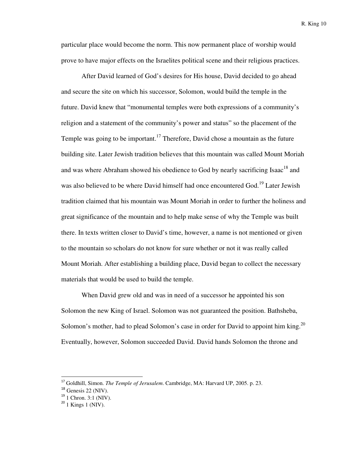particular place would become the norm. This now permanent place of worship would prove to have major effects on the Israelites political scene and their religious practices.

After David learned of God's desires for His house, David decided to go ahead and secure the site on which his successor, Solomon, would build the temple in the future. David knew that "monumental temples were both expressions of a community's religion and a statement of the community's power and status" so the placement of the Temple was going to be important.<sup>17</sup> Therefore, David chose a mountain as the future building site. Later Jewish tradition believes that this mountain was called Mount Moriah and was where Abraham showed his obedience to God by nearly sacrificing Isaac<sup>18</sup> and was also believed to be where David himself had once encountered God.<sup>19</sup> Later Jewish tradition claimed that his mountain was Mount Moriah in order to further the holiness and great significance of the mountain and to help make sense of why the Temple was built there. In texts written closer to David's time, however, a name is not mentioned or given to the mountain so scholars do not know for sure whether or not it was really called Mount Moriah. After establishing a building place, David began to collect the necessary materials that would be used to build the temple.

When David grew old and was in need of a successor he appointed his son Solomon the new King of Israel. Solomon was not guaranteed the position. Bathsheba, Solomon's mother, had to plead Solomon's case in order for David to appoint him king.<sup>20</sup> Eventually, however, Solomon succeeded David. David hands Solomon the throne and

<sup>17</sup> Goldhill, Simon. *The Temple of Jerusalem*. Cambridge, MA: Harvard UP, 2005. p. 23.

 $18$  Genesis 22 (NIV).

 $19$  1 Chron. 3:1 (NIV).

 $20$  1 Kings 1 (NIV).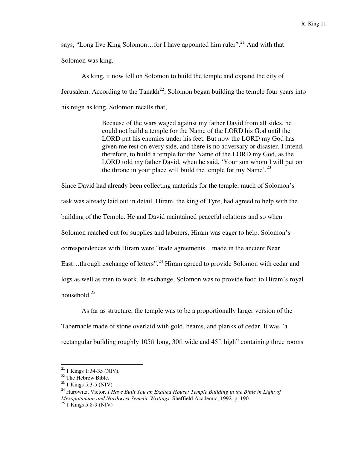says, "Long live King Solomon...for I have appointed him ruler".<sup>21</sup> And with that Solomon was king.

As king, it now fell on Solomon to build the temple and expand the city of Jerusalem. According to the Tanakh<sup>22</sup>, Solomon began building the temple four years into his reign as king. Solomon recalls that,

> Because of the wars waged against my father David from all sides, he could not build a temple for the Name of the LORD his God until the LORD put his enemies under his feet. But now the LORD my God has given me rest on every side, and there is no adversary or disaster. I intend, therefore, to build a temple for the Name of the LORD my God, as the LORD told my father David, when he said, 'Your son whom I will put on the throne in your place will build the temple for my Name'.<sup>23</sup>

Since David had already been collecting materials for the temple, much of Solomon's task was already laid out in detail. Hiram, the king of Tyre, had agreed to help with the building of the Temple. He and David maintained peaceful relations and so when Solomon reached out for supplies and laborers, Hiram was eager to help. Solomon's correspondences with Hiram were "trade agreements…made in the ancient Near East...through exchange of letters".<sup>24</sup> Hiram agreed to provide Solomon with cedar and logs as well as men to work. In exchange, Solomon was to provide food to Hiram's royal household.<sup>25</sup>

As far as structure, the temple was to be a proportionally larger version of the Tabernacle made of stone overlaid with gold, beams, and planks of cedar. It was "a rectangular building roughly 105ft long, 30ft wide and 45ft high" containing three rooms

 $^{21}$  1 Kings 1:34-35 (NIV).

 $22$  The Hebrew Bible.

 $^{23}$  1 Kings 5:3-5 (NIV)

<sup>24</sup> Hurowitz, Victor. *I Have Built You an Exalted House: Temple Building in the Bible in Light of Mesopotamian and Northwest Semetic Writings*. Sheffield Academic, 1992. p. 190.

 $25$  1 Kings 5:8-9 (NIV)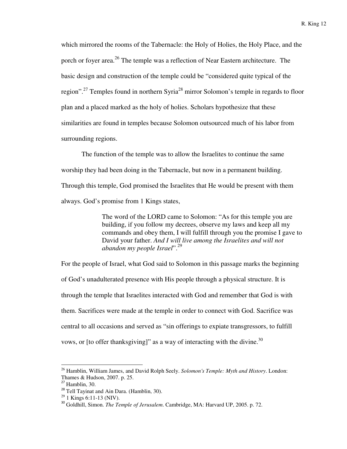which mirrored the rooms of the Tabernacle: the Holy of Holies, the Holy Place, and the porch or foyer area.<sup>26</sup> The temple was a reflection of Near Eastern architecture. The basic design and construction of the temple could be "considered quite typical of the region".<sup>27</sup> Temples found in northern Syria<sup>28</sup> mirror Solomon's temple in regards to floor plan and a placed marked as the holy of holies. Scholars hypothesize that these similarities are found in temples because Solomon outsourced much of his labor from surrounding regions.

The function of the temple was to allow the Israelites to continue the same worship they had been doing in the Tabernacle, but now in a permanent building. Through this temple, God promised the Israelites that He would be present with them always. God's promise from 1 Kings states,

> The word of the LORD came to Solomon: "As for this temple you are building, if you follow my decrees, observe my laws and keep all my commands and obey them, I will fulfill through you the promise I gave to David your father. *And I will live among the Israelites and will not abandon my people Israel*".<sup>29</sup>

For the people of Israel, what God said to Solomon in this passage marks the beginning of God's unadulterated presence with His people through a physical structure. It is through the temple that Israelites interacted with God and remember that God is with them. Sacrifices were made at the temple in order to connect with God. Sacrifice was central to all occasions and served as "sin offerings to expiate transgressors, to fulfill vows, or [to offer thanksgiving]" as a way of interacting with the divine.<sup>30</sup>

<sup>26</sup> Hamblin, William James, and David Rolph Seely. *Solomon's Temple: Myth and History*. London: Thames & Hudson, 2007. p. 25.

 $27$  Hamblin, 30.

<sup>&</sup>lt;sup>28</sup> Tell Tayinat and Ain Dara. (Hamblin, 30).

 $29$  1 Kings 6:11-13 (NIV).

<sup>30</sup> Goldhill, Simon. *The Temple of Jerusalem*. Cambridge, MA: Harvard UP, 2005. p. 72.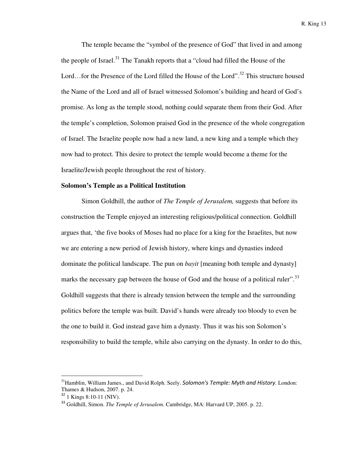The temple became the "symbol of the presence of God" that lived in and among the people of Israel.<sup>31</sup> The Tanakh reports that a "cloud had filled the House of the Lord...for the Presence of the Lord filled the House of the Lord".<sup>32</sup> This structure housed the Name of the Lord and all of Israel witnessed Solomon's building and heard of God's promise. As long as the temple stood, nothing could separate them from their God. After the temple's completion, Solomon praised God in the presence of the whole congregation of Israel. The Israelite people now had a new land, a new king and a temple which they now had to protect. This desire to protect the temple would become a theme for the Israelite/Jewish people throughout the rest of history.

#### **Solomon's Temple as a Political Institution**

Simon Goldhill, the author of *The Temple of Jerusalem,* suggests that before its construction the Temple enjoyed an interesting religious/political connection. Goldhill argues that, 'the five books of Moses had no place for a king for the Israelites, but now we are entering a new period of Jewish history, where kings and dynasties indeed dominate the political landscape. The pun on *bayit* [meaning both temple and dynasty] marks the necessary gap between the house of God and the house of a political ruler".<sup>33</sup> Goldhill suggests that there is already tension between the temple and the surrounding politics before the temple was built. David's hands were already too bloody to even be the one to build it. God instead gave him a dynasty. Thus it was his son Solomon's responsibility to build the temple, while also carrying on the dynasty. In order to do this,

<sup>&</sup>lt;sup>31</sup> Hamblin, William James., and David Rolph. Seely. Solomon's Temple: Myth and History. London: Thames & Hudson, 2007. p. 24.

<sup>32</sup> 1 Kings 8:10-11 (NIV).

<sup>33</sup> Goldhill, Simon. *The Temple of Jerusalem*. Cambridge, MA: Harvard UP, 2005. p. 22.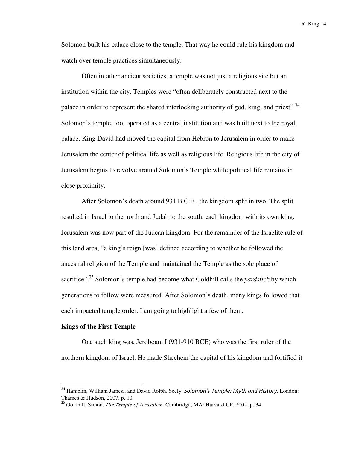Solomon built his palace close to the temple. That way he could rule his kingdom and watch over temple practices simultaneously.

Often in other ancient societies, a temple was not just a religious site but an institution within the city. Temples were "often deliberately constructed next to the palace in order to represent the shared interlocking authority of god, king, and priest".<sup>34</sup> Solomon's temple, too, operated as a central institution and was built next to the royal palace. King David had moved the capital from Hebron to Jerusalem in order to make Jerusalem the center of political life as well as religious life. Religious life in the city of Jerusalem begins to revolve around Solomon's Temple while political life remains in close proximity.

After Solomon's death around 931 B.C.E., the kingdom split in two. The split resulted in Israel to the north and Judah to the south, each kingdom with its own king. Jerusalem was now part of the Judean kingdom. For the remainder of the Israelite rule of this land area, "a king's reign [was] defined according to whether he followed the ancestral religion of the Temple and maintained the Temple as the sole place of sacrifice".<sup>35</sup> Solomon's temple had become what Goldhill calls the *yardstick* by which generations to follow were measured. After Solomon's death, many kings followed that each impacted temple order. I am going to highlight a few of them.

#### **Kings of the First Temple**

 $\overline{a}$ 

One such king was, Jeroboam I (931-910 BCE) who was the first ruler of the northern kingdom of Israel. He made Shechem the capital of his kingdom and fortified it

<sup>&</sup>lt;sup>34</sup> Hamblin, William James., and David Rolph. Seely. Solomon's Temple: Myth and History. London: Thames & Hudson, 2007. p. 10.

<sup>35</sup> Goldhill, Simon. *The Temple of Jerusalem*. Cambridge, MA: Harvard UP, 2005. p. 34.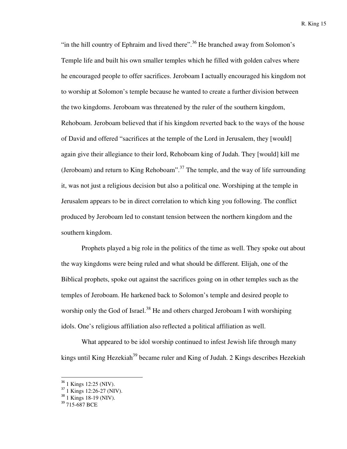"in the hill country of Ephraim and lived there".<sup>36</sup> He branched away from Solomon's Temple life and built his own smaller temples which he filled with golden calves where he encouraged people to offer sacrifices. Jeroboam I actually encouraged his kingdom not to worship at Solomon's temple because he wanted to create a further division between the two kingdoms. Jeroboam was threatened by the ruler of the southern kingdom, Rehoboam. Jeroboam believed that if his kingdom reverted back to the ways of the house of David and offered "sacrifices at the temple of the Lord in Jerusalem, they [would] again give their allegiance to their lord, Rehoboam king of Judah. They [would] kill me (Jeroboam) and return to King Rehoboam".<sup>37</sup> The temple, and the way of life surrounding it, was not just a religious decision but also a political one. Worshiping at the temple in Jerusalem appears to be in direct correlation to which king you following. The conflict produced by Jeroboam led to constant tension between the northern kingdom and the southern kingdom.

Prophets played a big role in the politics of the time as well. They spoke out about the way kingdoms were being ruled and what should be different. Elijah, one of the Biblical prophets, spoke out against the sacrifices going on in other temples such as the temples of Jeroboam. He harkened back to Solomon's temple and desired people to worship only the God of Israel.<sup>38</sup> He and others charged Jeroboam I with worshiping idols. One's religious affiliation also reflected a political affiliation as well.

What appeared to be idol worship continued to infest Jewish life through many kings until King Hezekiah<sup>39</sup> became ruler and King of Judah. 2 Kings describes Hezekiah

<sup>36</sup> 1 Kings 12:25 (NIV).

<sup>37</sup> 1 Kings 12:26-27 (NIV).

<sup>38</sup> 1 Kings 18-19 (NIV).

<sup>&</sup>lt;sup>39</sup> 715-687 BCE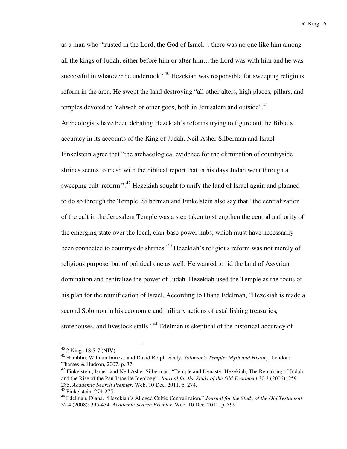as a man who "trusted in the Lord, the God of Israel… there was no one like him among all the kings of Judah, either before him or after him…the Lord was with him and he was successful in whatever he undertook".<sup>40</sup> Hezekiah was responsible for sweeping religious reform in the area. He swept the land destroying "all other alters, high places, pillars, and temples devoted to Yahweh or other gods, both in Jerusalem and outside".<sup>41</sup> Archeologists have been debating Hezekiah's reforms trying to figure out the Bible's accuracy in its accounts of the King of Judah. Neil Asher Silberman and Israel Finkelstein agree that "the archaeological evidence for the elimination of countryside shrines seems to mesh with the biblical report that in his days Judah went through a sweeping cult 'reform"<sup>.42</sup> Hezekiah sought to unify the land of Israel again and planned to do so through the Temple. Silberman and Finkelstein also say that "the centralization of the cult in the Jerusalem Temple was a step taken to strengthen the central authority of the emerging state over the local, clan-base power hubs, which must have necessarily been connected to countryside shrines<sup>"43</sup> Hezekiah's religious reform was not merely of religious purpose, but of political one as well. He wanted to rid the land of Assyrian domination and centralize the power of Judah. Hezekiah used the Temple as the focus of his plan for the reunification of Israel. According to Diana Edelman, "Hezekiah is made a second Solomon in his economic and military actions of establishing treasuries, storehouses, and livestock stalls".<sup>44</sup> Edelman is skeptical of the historical accuracy of

<sup>40</sup> 2 Kings 18:5-7 (NIV).

<sup>41</sup> Hamblin, William James., and David Rolph. Seely. *Solomon's Temple: Myth and History*. London: Thames & Hudson, 2007. p. 37.

<sup>&</sup>lt;sup>42</sup> Finkelstein, Israel, and Neil Asher Silberman. "Temple and Dynasty: Hezekiah, The Remaking of Judah and the Rise of the Pan-Israelite Ideology". *Journal for the Study of the Old Testament* 30.3 (2006): 259- 285. *Academic Search Premier.* Web. 10 Dec. 2011. p. 274.

<sup>43</sup> Finkelstein, 274-275.

<sup>44</sup> Edelman, Diana. "Hezekiah's Alleged Cultic Centralizaion." *Journal for the Study of the Old Testament*  32.4 (2008): 395-434. *Academic Search Premier.* Web. 10 Dec. 2011. p. 399.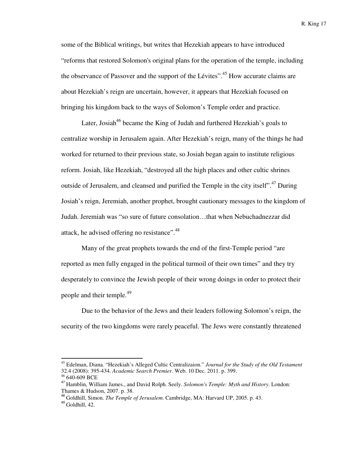some of the Biblical writings, but writes that Hezekiah appears to have introduced "reforms that restored Solomon's original plans for the operation of the temple, including the observance of Passover and the support of the Lévites".<sup>45</sup> How accurate claims are about Hezekiah's reign are uncertain, however, it appears that Hezekiah focused on bringing his kingdom back to the ways of Solomon's Temple order and practice.

Later, Josiah<sup>46</sup> became the King of Judah and furthered Hezekiah's goals to centralize worship in Jerusalem again. After Hezekiah's reign, many of the things he had worked for returned to their previous state, so Josiah began again to institute religious reform. Josiah, like Hezekiah, "destroyed all the high places and other cultic shrines outside of Jerusalem, and cleansed and purified the Temple in the city itself".<sup>47</sup> During Josiah's reign, Jeremiah, another prophet, brought cautionary messages to the kingdom of Judah. Jeremiah was "so sure of future consolation…that when Nebuchadnezzar did attack, he advised offering no resistance".<sup>48</sup>

Many of the great prophets towards the end of the first-Temple period "are reported as men fully engaged in the political turmoil of their own times" and they try desperately to convince the Jewish people of their wrong doings in order to protect their people and their temple.<sup>49</sup>

Due to the behavior of the Jews and their leaders following Solomon's reign, the security of the two kingdoms were rarely peaceful. The Jews were constantly threatened

<sup>45</sup> Edelman, Diana. "Hezekiah's Alleged Cultic Centralizaion." *Journal for the Study of the Old Testament*  32.4 (2008): 395-434. *Academic Search Premier.* Web. 10 Dec. 2011. p. 399.

<sup>46</sup> 640-609 BCE

<sup>47</sup> Hamblin, William James., and David Rolph. Seely. *Solomon's Temple: Myth and History*. London: Thames & Hudson, 2007. p. 38.

<sup>48</sup> Goldhill, Simon. *The Temple of Jerusalem*. Cambridge, MA: Harvard UP, 2005. p. 43.

 $49$  Goldhill, 42.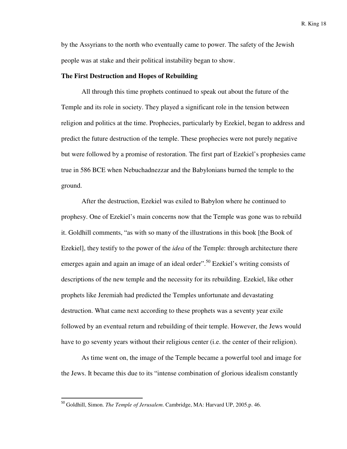by the Assyrians to the north who eventually came to power. The safety of the Jewish people was at stake and their political instability began to show.

#### **The First Destruction and Hopes of Rebuilding**

All through this time prophets continued to speak out about the future of the Temple and its role in society. They played a significant role in the tension between religion and politics at the time. Prophecies, particularly by Ezekiel, began to address and predict the future destruction of the temple. These prophecies were not purely negative but were followed by a promise of restoration. The first part of Ezekiel's prophesies came true in 586 BCE when Nebuchadnezzar and the Babylonians burned the temple to the ground.

After the destruction, Ezekiel was exiled to Babylon where he continued to prophesy. One of Ezekiel's main concerns now that the Temple was gone was to rebuild it. Goldhill comments, "as with so many of the illustrations in this book [the Book of Ezekiel], they testify to the power of the *idea* of the Temple: through architecture there emerges again and again an image of an ideal order".<sup>50</sup> Ezekiel's writing consists of descriptions of the new temple and the necessity for its rebuilding. Ezekiel, like other prophets like Jeremiah had predicted the Temples unfortunate and devastating destruction. What came next according to these prophets was a seventy year exile followed by an eventual return and rebuilding of their temple. However, the Jews would have to go seventy years without their religious center (i.e. the center of their religion).

As time went on, the image of the Temple became a powerful tool and image for the Jews. It became this due to its "intense combination of glorious idealism constantly

<sup>50</sup> Goldhill, Simon. *The Temple of Jerusalem*. Cambridge, MA: Harvard UP, 2005.p. 46.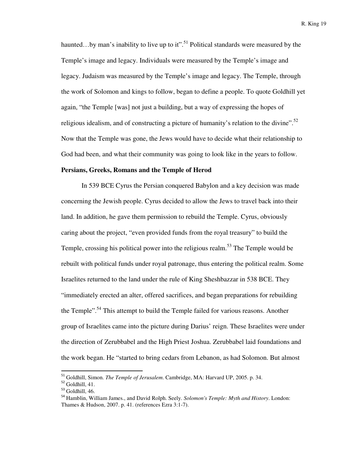haunted...by man's inability to live up to it".<sup>51</sup> Political standards were measured by the Temple's image and legacy. Individuals were measured by the Temple's image and legacy. Judaism was measured by the Temple's image and legacy. The Temple, through the work of Solomon and kings to follow, began to define a people. To quote Goldhill yet again, "the Temple [was] not just a building, but a way of expressing the hopes of religious idealism, and of constructing a picture of humanity's relation to the divine".<sup>52</sup> Now that the Temple was gone, the Jews would have to decide what their relationship to God had been, and what their community was going to look like in the years to follow.

#### **Persians, Greeks, Romans and the Temple of Herod**

In 539 BCE Cyrus the Persian conquered Babylon and a key decision was made concerning the Jewish people. Cyrus decided to allow the Jews to travel back into their land. In addition, he gave them permission to rebuild the Temple. Cyrus, obviously caring about the project, "even provided funds from the royal treasury" to build the Temple, crossing his political power into the religious realm.<sup>53</sup> The Temple would be rebuilt with political funds under royal patronage, thus entering the political realm. Some Israelites returned to the land under the rule of King Sheshbazzar in 538 BCE. They "immediately erected an alter, offered sacrifices, and began preparations for rebuilding the Temple".<sup>54</sup> This attempt to build the Temple failed for various reasons. Another group of Israelites came into the picture during Darius' reign. These Israelites were under the direction of Zerubbabel and the High Priest Joshua. Zerubbabel laid foundations and the work began. He "started to bring cedars from Lebanon, as had Solomon. But almost

<sup>51</sup> Goldhill, Simon. *The Temple of Jerusalem*. Cambridge, MA: Harvard UP, 2005. p. 34.

 $52$  Goldhill, 41.

 $53$  Goldhill, 46.

<sup>54</sup> Hamblin, William James., and David Rolph. Seely. *Solomon's Temple: Myth and History*. London: Thames & Hudson, 2007. p. 41. (references Ezra 3:1-7).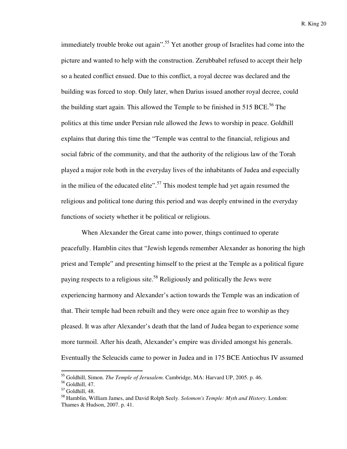immediately trouble broke out again".<sup>55</sup> Yet another group of Israelites had come into the picture and wanted to help with the construction. Zerubbabel refused to accept their help so a heated conflict ensued. Due to this conflict, a royal decree was declared and the building was forced to stop. Only later, when Darius issued another royal decree, could the building start again. This allowed the Temple to be finished in  $515$  BCE.<sup>56</sup> The politics at this time under Persian rule allowed the Jews to worship in peace. Goldhill explains that during this time the "Temple was central to the financial, religious and social fabric of the community, and that the authority of the religious law of the Torah played a major role both in the everyday lives of the inhabitants of Judea and especially in the milieu of the educated elite".<sup>57</sup> This modest temple had yet again resumed the religious and political tone during this period and was deeply entwined in the everyday functions of society whether it be political or religious.

When Alexander the Great came into power, things continued to operate peacefully. Hamblin cites that "Jewish legends remember Alexander as honoring the high priest and Temple" and presenting himself to the priest at the Temple as a political figure paying respects to a religious site.<sup>58</sup> Religiously and politically the Jews were experiencing harmony and Alexander's action towards the Temple was an indication of that. Their temple had been rebuilt and they were once again free to worship as they pleased. It was after Alexander's death that the land of Judea began to experience some more turmoil. After his death, Alexander's empire was divided amongst his generals. Eventually the Seleucids came to power in Judea and in 175 BCE Antiochus IV assumed

<sup>55</sup> Goldhill, Simon. *The Temple of Jerusalem*. Cambridge, MA: Harvard UP, 2005. p. 46.

<sup>56</sup> Goldhill, 47.

<sup>57</sup> Goldhill, 48.

<sup>58</sup> Hamblin, William James, and David Rolph Seely. *Solomon's Temple: Myth and History*. London: Thames & Hudson, 2007. p. 41.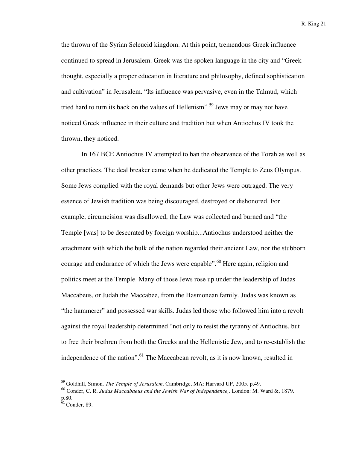the thrown of the Syrian Seleucid kingdom. At this point, tremendous Greek influence continued to spread in Jerusalem. Greek was the spoken language in the city and "Greek thought, especially a proper education in literature and philosophy, defined sophistication and cultivation" in Jerusalem. "Its influence was pervasive, even in the Talmud, which tried hard to turn its back on the values of Hellenism".<sup>59</sup> Jews may or may not have noticed Greek influence in their culture and tradition but when Antiochus IV took the thrown, they noticed.

In 167 BCE Antiochus IV attempted to ban the observance of the Torah as well as other practices. The deal breaker came when he dedicated the Temple to Zeus Olympus. Some Jews complied with the royal demands but other Jews were outraged. The very essence of Jewish tradition was being discouraged, destroyed or dishonored. For example, circumcision was disallowed, the Law was collected and burned and "the Temple [was] to be desecrated by foreign worship...Antiochus understood neither the attachment with which the bulk of the nation regarded their ancient Law, nor the stubborn courage and endurance of which the Jews were capable".<sup>60</sup> Here again, religion and politics meet at the Temple. Many of those Jews rose up under the leadership of Judas Maccabeus, or Judah the Maccabee, from the Hasmonean family. Judas was known as "the hammerer" and possessed war skills. Judas led those who followed him into a revolt against the royal leadership determined "not only to resist the tyranny of Antiochus, but to free their brethren from both the Greeks and the Hellenistic Jew, and to re-establish the independence of the nation".<sup>61</sup> The Maccabean revolt, as it is now known, resulted in

<sup>59</sup> Goldhill, Simon. *The Temple of Jerusalem*. Cambridge, MA: Harvard UP, 2005. p.49.

<sup>60</sup> Conder, C. R. *Judas Maccabaeus and the Jewish War of Independence,*. London: M. Ward &, 1879. p.80.

 $61$  Conder, 89.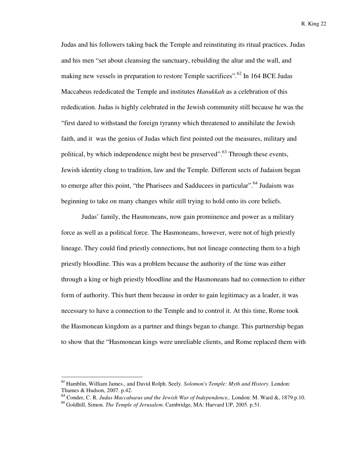Judas and his followers taking back the Temple and reinstituting its ritual practices. Judas and his men "set about cleansing the sanctuary, rebuilding the altar and the wall, and making new vessels in preparation to restore Temple sacrifices".<sup>62</sup> In 164 BCE Judas Maccabeus rededicated the Temple and institutes *Hanukkah* as a celebration of this rededication. Judas is highly celebrated in the Jewish community still because he was the "first dared to withstand the foreign tyranny which threatened to annihilate the Jewish faith, and it was the genius of Judas which first pointed out the measures, military and political, by which independence might best be preserved".<sup>63</sup> Through these events, Jewish identity clung to tradition, law and the Temple. Different sects of Judaism began to emerge after this point, "the Pharisees and Sadducees in particular".<sup>64</sup> Judaism was beginning to take on many changes while still trying to hold onto its core beliefs.

Judas' family, the Hasmoneans, now gain prominence and power as a military force as well as a political force. The Hasmoneans, however, were not of high priestly lineage. They could find priestly connections, but not lineage connecting them to a high priestly bloodline. This was a problem because the authority of the time was either through a king or high priestly bloodline and the Hasmoneans had no connection to either form of authority. This hurt them because in order to gain legitimacy as a leader, it was necessary to have a connection to the Temple and to control it. At this time, Rome took the Hasmonean kingdom as a partner and things began to change. This partnership began to show that the "Hasmonean kings were unreliable clients, and Rome replaced them with

<sup>62</sup> Hamblin, William James., and David Rolph. Seely. *Solomon's Temple: Myth and History*. London: Thames & Hudson, 2007. p.42.

<sup>63</sup> Conder, C. R. *Judas Maccabaeus and the Jewish War of Independence,*. London: M. Ward &, 1879.p.10.

<sup>64</sup> Goldhill, Simon. *The Temple of Jerusalem*. Cambridge, MA: Harvard UP, 2005. p.51.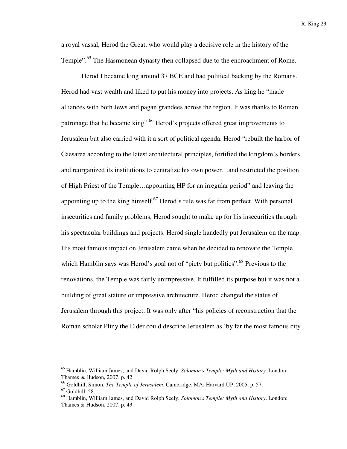a royal vassal, Herod the Great, who would play a decisive role in the history of the Temple".<sup>65</sup> The Hasmonean dynasty then collapsed due to the encroachment of Rome.

Herod I became king around 37 BCE and had political backing by the Romans. Herod had vast wealth and liked to put his money into projects. As king he "made alliances with both Jews and pagan grandees across the region. It was thanks to Roman patronage that he became king".<sup>66</sup> Herod's projects offered great improvements to Jerusalem but also carried with it a sort of political agenda. Herod "rebuilt the harbor of Caesarea according to the latest architectural principles, fortified the kingdom's borders and reorganized its institutions to centralize his own power…and restricted the position of High Priest of the Temple…appointing HP for an irregular period" and leaving the appointing up to the king himself. $^{67}$  Herod's rule was far from perfect. With personal insecurities and family problems, Herod sought to make up for his insecurities through his spectacular buildings and projects. Herod single handedly put Jerusalem on the map. His most famous impact on Jerusalem came when he decided to renovate the Temple which Hamblin says was Herod's goal not of "piety but politics".<sup>68</sup> Previous to the renovations, the Temple was fairly unimpressive. It fulfilled its purpose but it was not a building of great stature or impressive architecture. Herod changed the status of Jerusalem through this project. It was only after "his policies of reconstruction that the Roman scholar Pliny the Elder could describe Jerusalem as 'by far the most famous city

<sup>65</sup> Hamblin, William James, and David Rolph Seely. *Solomon's Temple: Myth and History*. London: Thames & Hudson, 2007. p. 42.

<sup>66</sup> Goldhill, Simon. *The Temple of Jerusalem*. Cambridge, MA: Harvard UP, 2005. p. 57.

 $67$  Goldhill, 58.

<sup>68</sup> Hamblin, William James, and David Rolph Seely. *Solomon's Temple: Myth and History*. London: Thames & Hudson, 2007. p. 43.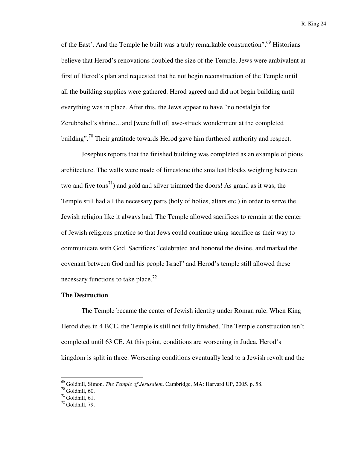of the East'. And the Temple he built was a truly remarkable construction".<sup>69</sup> Historians believe that Herod's renovations doubled the size of the Temple. Jews were ambivalent at first of Herod's plan and requested that he not begin reconstruction of the Temple until all the building supplies were gathered. Herod agreed and did not begin building until everything was in place. After this, the Jews appear to have "no nostalgia for Zerubbabel's shrine…and [were full of] awe-struck wonderment at the completed building".<sup>70</sup> Their gratitude towards Herod gave him furthered authority and respect.

Josephus reports that the finished building was completed as an example of pious architecture. The walls were made of limestone (the smallest blocks weighing between two and five tons<sup>71</sup>) and gold and silver trimmed the doors! As grand as it was, the Temple still had all the necessary parts (holy of holies, altars etc.) in order to serve the Jewish religion like it always had. The Temple allowed sacrifices to remain at the center of Jewish religious practice so that Jews could continue using sacrifice as their way to communicate with God. Sacrifices "celebrated and honored the divine, and marked the covenant between God and his people Israel" and Herod's temple still allowed these necessary functions to take place.<sup>72</sup>

#### **The Destruction**

The Temple became the center of Jewish identity under Roman rule. When King Herod dies in 4 BCE, the Temple is still not fully finished. The Temple construction isn't completed until 63 CE. At this point, conditions are worsening in Judea. Herod's kingdom is split in three. Worsening conditions eventually lead to a Jewish revolt and the

<sup>69</sup> Goldhill, Simon. *The Temple of Jerusalem*. Cambridge, MA: Harvard UP, 2005. p. 58.

<sup>70</sup> Goldhill, 60.

 $71$  Goldhill, 61.

 $72$  Goldhill,  $79$ .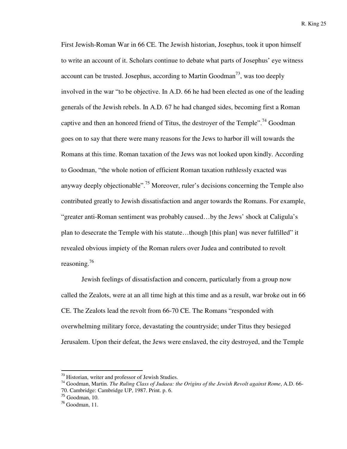First Jewish-Roman War in 66 CE. The Jewish historian, Josephus, took it upon himself to write an account of it. Scholars continue to debate what parts of Josephus' eye witness account can be trusted. Josephus, according to Martin Goodman<sup>73</sup>, was too deeply involved in the war "to be objective. In A.D. 66 he had been elected as one of the leading generals of the Jewish rebels. In A.D. 67 he had changed sides, becoming first a Roman captive and then an honored friend of Titus, the destroyer of the Temple".<sup>74</sup> Goodman goes on to say that there were many reasons for the Jews to harbor ill will towards the Romans at this time. Roman taxation of the Jews was not looked upon kindly. According to Goodman, "the whole notion of efficient Roman taxation ruthlessly exacted was anyway deeply objectionable".<sup>75</sup> Moreover, ruler's decisions concerning the Temple also contributed greatly to Jewish dissatisfaction and anger towards the Romans. For example, "greater anti-Roman sentiment was probably caused…by the Jews' shock at Caligula's plan to desecrate the Temple with his statute…though [this plan] was never fulfilled" it revealed obvious impiety of the Roman rulers over Judea and contributed to revolt reasoning.<sup>76</sup>

Jewish feelings of dissatisfaction and concern, particularly from a group now called the Zealots, were at an all time high at this time and as a result, war broke out in 66 CE. The Zealots lead the revolt from 66-70 CE. The Romans "responded with overwhelming military force, devastating the countryside; under Titus they besieged Jerusalem. Upon their defeat, the Jews were enslaved, the city destroyed, and the Temple

<sup>&</sup>lt;sup>73</sup> Historian, writer and professor of Jewish Studies.

<sup>74</sup> Goodman, Martin. *The Ruling Class of Judaea: the Origins of the Jewish Revolt against Rome*, A.D. 66- 70. Cambridge: Cambridge UP, 1987. Print. p. 6.

 $75$  Goodman, 10.

 $76$  Goodman, 11.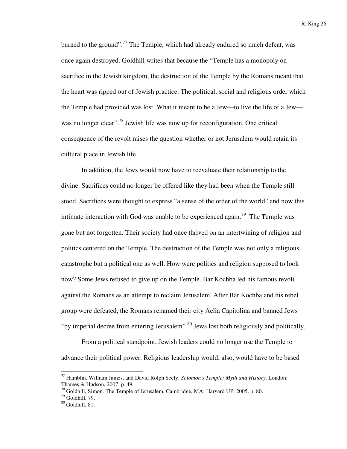burned to the ground".<sup>77</sup> The Temple, which had already endured so much defeat, was once again destroyed. Goldhill writes that because the "Temple has a monopoly on sacrifice in the Jewish kingdom, the destruction of the Temple by the Romans meant that the heart was ripped out of Jewish practice. The political, social and religious order which the Temple had provided was lost. What it meant to be a Jew—to live the life of a Jew was no longer clear".<sup>78</sup> Jewish life was now up for reconfiguration. One critical consequence of the revolt raises the question whether or not Jerusalem would retain its cultural place in Jewish life.

In addition, the Jews would now have to reevaluate their relationship to the divine. Sacrifices could no longer be offered like they had been when the Temple still stood. Sacrifices were thought to express "a sense of the order of the world" and now this intimate interaction with God was unable to be experienced again.<sup>79</sup> The Temple was gone but not forgotten. Their society had once thrived on an intertwining of religion and politics centered on the Temple. The destruction of the Temple was not only a religious catastrophe but a political one as well. How were politics and religion supposed to look now? Some Jews refused to give up on the Temple. Bar Kochba led his famous revolt against the Romans as an attempt to reclaim Jerusalem. After Bar Kochba and his rebel group were defeated, the Romans renamed their city Aelia Capitolina and banned Jews "by imperial decree from entering Jerusalem".<sup>80</sup> Jews lost both religiously and politically.

From a political standpoint, Jewish leaders could no longer use the Temple to advance their political power. Religious leadership would, also, would have to be based

<sup>77</sup> Hamblin, William James, and David Rolph Seely. *Solomon's Temple: Myth and History*. London: Thames & Hudson, 2007. p. 49.

<sup>&</sup>lt;sup>78</sup> Goldhill, Simon. The Temple of Jerusalem. Cambridge, MA: Harvard UP, 2005. p. 80.

 $79$  Goldhill, 79.

 $80$  Goldhill, 81.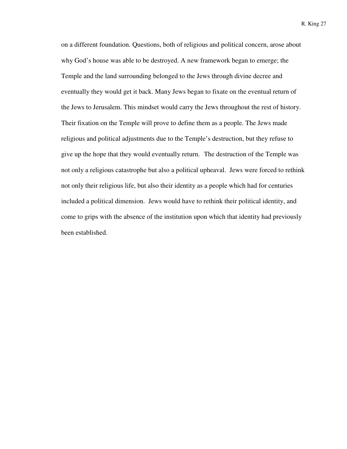on a different foundation. Questions, both of religious and political concern, arose about why God's house was able to be destroyed. A new framework began to emerge; the Temple and the land surrounding belonged to the Jews through divine decree and eventually they would get it back. Many Jews began to fixate on the eventual return of the Jews to Jerusalem. This mindset would carry the Jews throughout the rest of history. Their fixation on the Temple will prove to define them as a people. The Jews made religious and political adjustments due to the Temple's destruction, but they refuse to give up the hope that they would eventually return. The destruction of the Temple was not only a religious catastrophe but also a political upheaval. Jews were forced to rethink not only their religious life, but also their identity as a people which had for centuries included a political dimension. Jews would have to rethink their political identity, and come to grips with the absence of the institution upon which that identity had previously been established.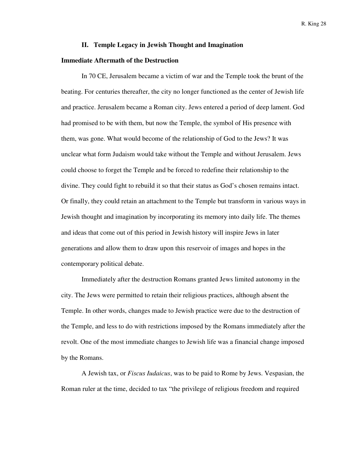#### **II. Temple Legacy in Jewish Thought and Imagination**

#### **Immediate Aftermath of the Destruction**

In 70 CE, Jerusalem became a victim of war and the Temple took the brunt of the beating. For centuries thereafter, the city no longer functioned as the center of Jewish life and practice. Jerusalem became a Roman city. Jews entered a period of deep lament. God had promised to be with them, but now the Temple, the symbol of His presence with them, was gone. What would become of the relationship of God to the Jews? It was unclear what form Judaism would take without the Temple and without Jerusalem. Jews could choose to forget the Temple and be forced to redefine their relationship to the divine. They could fight to rebuild it so that their status as God's chosen remains intact. Or finally, they could retain an attachment to the Temple but transform in various ways in Jewish thought and imagination by incorporating its memory into daily life. The themes and ideas that come out of this period in Jewish history will inspire Jews in later generations and allow them to draw upon this reservoir of images and hopes in the contemporary political debate.

Immediately after the destruction Romans granted Jews limited autonomy in the city. The Jews were permitted to retain their religious practices, although absent the Temple. In other words, changes made to Jewish practice were due to the destruction of the Temple, and less to do with restrictions imposed by the Romans immediately after the revolt. One of the most immediate changes to Jewish life was a financial change imposed by the Romans.

A Jewish tax, or *Fiscus Iudaicus*, was to be paid to Rome by Jews. Vespasian, the Roman ruler at the time, decided to tax "the privilege of religious freedom and required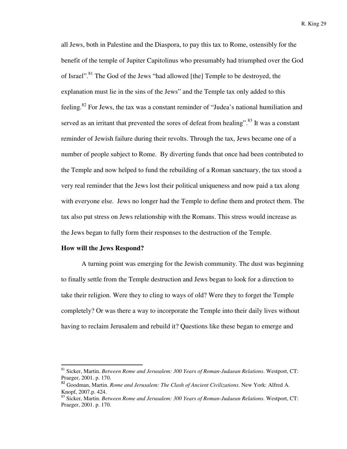all Jews, both in Palestine and the Diaspora, to pay this tax to Rome, ostensibly for the benefit of the temple of Jupiter Capitolinus who presumably had triumphed over the God of Israel".<sup>81</sup> The God of the Jews "had allowed [the] Temple to be destroyed, the explanation must lie in the sins of the Jews" and the Temple tax only added to this feeling.<sup>82</sup> For Jews, the tax was a constant reminder of "Judea's national humiliation and served as an irritant that prevented the sores of defeat from healing".<sup>83</sup> It was a constant reminder of Jewish failure during their revolts. Through the tax, Jews became one of a number of people subject to Rome. By diverting funds that once had been contributed to the Temple and now helped to fund the rebuilding of a Roman sanctuary, the tax stood a very real reminder that the Jews lost their political uniqueness and now paid a tax along with everyone else. Jews no longer had the Temple to define them and protect them. The tax also put stress on Jews relationship with the Romans. This stress would increase as the Jews began to fully form their responses to the destruction of the Temple.

#### **How will the Jews Respond?**

l

 A turning point was emerging for the Jewish community. The dust was beginning to finally settle from the Temple destruction and Jews began to look for a direction to take their religion. Were they to cling to ways of old? Were they to forget the Temple completely? Or was there a way to incorporate the Temple into their daily lives without having to reclaim Jerusalem and rebuild it? Questions like these began to emerge and

<sup>81</sup> Sicker, Martin. *Between Rome and Jerusalem: 300 Years of Roman-Judaean Relations*. Westport, CT: Praeger, 2001. p. 170.

<sup>82</sup> Goodman, Martin. *Rome and Jerusalem: The Clash of Ancient Civilizations*. New York: Alfred A. Knopf, 2007.p. 424.

<sup>83</sup> Sicker, Martin. *Between Rome and Jerusalem: 300 Years of Roman-Judaean Relations*. Westport, CT: Praeger, 2001. p. 170.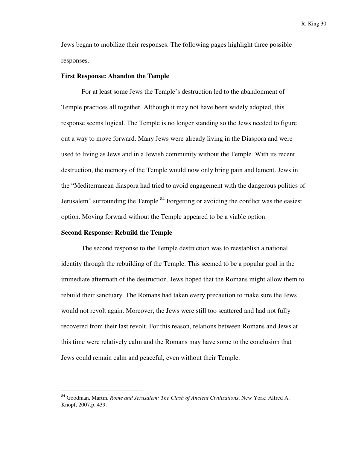Jews began to mobilize their responses. The following pages highlight three possible responses.

#### **First Response: Abandon the Temple**

For at least some Jews the Temple's destruction led to the abandonment of Temple practices all together. Although it may not have been widely adopted, this response seems logical. The Temple is no longer standing so the Jews needed to figure out a way to move forward. Many Jews were already living in the Diaspora and were used to living as Jews and in a Jewish community without the Temple. With its recent destruction, the memory of the Temple would now only bring pain and lament. Jews in the "Mediterranean diaspora had tried to avoid engagement with the dangerous politics of Jerusalem" surrounding the Temple. $84$  Forgetting or avoiding the conflict was the easiest option. Moving forward without the Temple appeared to be a viable option.

#### **Second Response: Rebuild the Temple**

l

The second response to the Temple destruction was to reestablish a national identity through the rebuilding of the Temple. This seemed to be a popular goal in the immediate aftermath of the destruction. Jews hoped that the Romans might allow them to rebuild their sanctuary. The Romans had taken every precaution to make sure the Jews would not revolt again. Moreover, the Jews were still too scattered and had not fully recovered from their last revolt. For this reason, relations between Romans and Jews at this time were relatively calm and the Romans may have some to the conclusion that Jews could remain calm and peaceful, even without their Temple.

<sup>84</sup> Goodman, Martin. *Rome and Jerusalem: The Clash of Ancient Civilizations*. New York: Alfred A. Knopf, 2007.p. 439.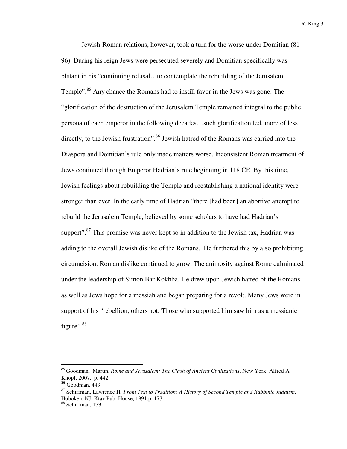Jewish-Roman relations, however, took a turn for the worse under Domitian (81- 96). During his reign Jews were persecuted severely and Domitian specifically was blatant in his "continuing refusal…to contemplate the rebuilding of the Jerusalem Temple"<sup>85</sup> Any chance the Romans had to instill favor in the Jews was gone. The "glorification of the destruction of the Jerusalem Temple remained integral to the public persona of each emperor in the following decades…such glorification led, more of less directly, to the Jewish frustration".<sup>86</sup> Jewish hatred of the Romans was carried into the Diaspora and Domitian's rule only made matters worse. Inconsistent Roman treatment of Jews continued through Emperor Hadrian's rule beginning in 118 CE. By this time, Jewish feelings about rebuilding the Temple and reestablishing a national identity were stronger than ever. In the early time of Hadrian "there [had been] an abortive attempt to rebuild the Jerusalem Temple, believed by some scholars to have had Hadrian's support".<sup>87</sup> This promise was never kept so in addition to the Jewish tax, Hadrian was adding to the overall Jewish dislike of the Romans. He furthered this by also prohibiting circumcision. Roman dislike continued to grow. The animosity against Rome culminated under the leadership of Simon Bar Kokhba. He drew upon Jewish hatred of the Romans as well as Jews hope for a messiah and began preparing for a revolt. Many Jews were in support of his "rebellion, others not. Those who supported him saw him as a messianic figure".<sup>88</sup>

<sup>85</sup> Goodman, Martin. *Rome and Jerusalem: The Clash of Ancient Civilizations*. New York: Alfred A. Knopf, 2007. p. 442.

<sup>86</sup> Goodman, 443.

<sup>87</sup> Schiffman, Lawrence H. *From Text to Tradition: A History of Second Temple and Rabbinic Judaism*. Hoboken, NJ: Ktav Pub. House, 1991.p. 173.

<sup>88</sup> Schiffman, 173.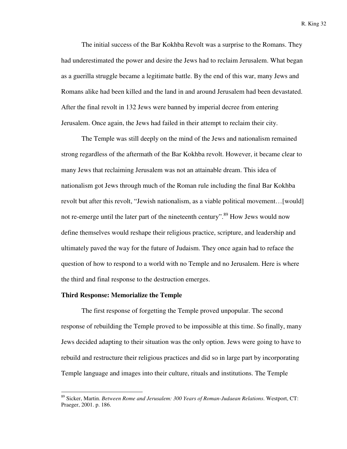The initial success of the Bar Kokhba Revolt was a surprise to the Romans. They had underestimated the power and desire the Jews had to reclaim Jerusalem. What began as a guerilla struggle became a legitimate battle. By the end of this war, many Jews and Romans alike had been killed and the land in and around Jerusalem had been devastated. After the final revolt in 132 Jews were banned by imperial decree from entering Jerusalem. Once again, the Jews had failed in their attempt to reclaim their city.

The Temple was still deeply on the mind of the Jews and nationalism remained strong regardless of the aftermath of the Bar Kokhba revolt. However, it became clear to many Jews that reclaiming Jerusalem was not an attainable dream. This idea of nationalism got Jews through much of the Roman rule including the final Bar Kokhba revolt but after this revolt, "Jewish nationalism, as a viable political movement…[would] not re-emerge until the later part of the nineteenth century".<sup>89</sup> How Jews would now define themselves would reshape their religious practice, scripture, and leadership and ultimately paved the way for the future of Judaism. They once again had to reface the question of how to respond to a world with no Temple and no Jerusalem. Here is where the third and final response to the destruction emerges.

#### **Third Response: Memorialize the Temple**

l

The first response of forgetting the Temple proved unpopular. The second response of rebuilding the Temple proved to be impossible at this time. So finally, many Jews decided adapting to their situation was the only option. Jews were going to have to rebuild and restructure their religious practices and did so in large part by incorporating Temple language and images into their culture, rituals and institutions. The Temple

<sup>89</sup> Sicker, Martin. *Between Rome and Jerusalem: 300 Years of Roman-Judaean Relations*. Westport, CT: Praeger, 2001. p. 186.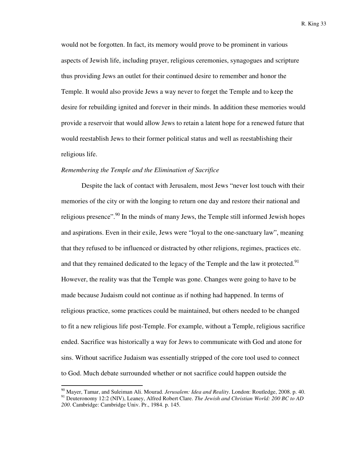would not be forgotten. In fact, its memory would prove to be prominent in various aspects of Jewish life, including prayer, religious ceremonies, synagogues and scripture thus providing Jews an outlet for their continued desire to remember and honor the Temple. It would also provide Jews a way never to forget the Temple and to keep the desire for rebuilding ignited and forever in their minds. In addition these memories would provide a reservoir that would allow Jews to retain a latent hope for a renewed future that would reestablish Jews to their former political status and well as reestablishing their religious life.

#### *Remembering the Temple and the Elimination of Sacrifice*

 $\overline{a}$ 

Despite the lack of contact with Jerusalem, most Jews "never lost touch with their memories of the city or with the longing to return one day and restore their national and religious presence".<sup>90</sup> In the minds of many Jews, the Temple still informed Jewish hopes and aspirations. Even in their exile, Jews were "loyal to the one-sanctuary law", meaning that they refused to be influenced or distracted by other religions, regimes, practices etc. and that they remained dedicated to the legacy of the Temple and the law it protected.<sup>91</sup> However, the reality was that the Temple was gone. Changes were going to have to be made because Judaism could not continue as if nothing had happened. In terms of religious practice, some practices could be maintained, but others needed to be changed to fit a new religious life post-Temple. For example, without a Temple, religious sacrifice ended. Sacrifice was historically a way for Jews to communicate with God and atone for sins. Without sacrifice Judaism was essentially stripped of the core tool used to connect to God. Much debate surrounded whether or not sacrifice could happen outside the

<sup>90</sup> Mayer, Tamar, and Suleiman Ali. Mourad. *Jerusalem: Idea and Reality*. London: Routledge, 2008. p. 40. <sup>91</sup> Deuteronomy 12:2 (NIV), Leaney, Alfred Robert Clare. *The Jewish and Christian World: 200 BC to AD 200*. Cambridge: Cambridge Univ. Pr., 1984. p. 145.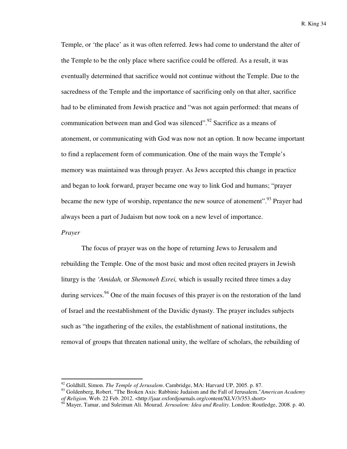Temple, or 'the place' as it was often referred. Jews had come to understand the alter of the Temple to be the only place where sacrifice could be offered. As a result, it was eventually determined that sacrifice would not continue without the Temple. Due to the sacredness of the Temple and the importance of sacrificing only on that alter, sacrifice had to be eliminated from Jewish practice and "was not again performed: that means of communication between man and God was silenced".<sup>92</sup> Sacrifice as a means of atonement, or communicating with God was now not an option. It now became important to find a replacement form of communication. One of the main ways the Temple's memory was maintained was through prayer. As Jews accepted this change in practice and began to look forward, prayer became one way to link God and humans; "prayer became the new type of worship, repentance the new source of atonement".<sup>93</sup> Prayer had always been a part of Judaism but now took on a new level of importance.

#### *Prayer*

l

The focus of prayer was on the hope of returning Jews to Jerusalem and rebuilding the Temple. One of the most basic and most often recited prayers in Jewish liturgy is the *'Amidah,* or *Shemoneh Esrei,* which is usually recited three times a day during services.<sup>94</sup> One of the main focuses of this prayer is on the restoration of the land of Israel and the reestablishment of the Davidic dynasty. The prayer includes subjects such as "the ingathering of the exiles, the establishment of national institutions, the removal of groups that threaten national unity, the welfare of scholars, the rebuilding of

<sup>92</sup> Goldhill, Simon. *The Temple of Jerusalem*. Cambridge, MA: Harvard UP, 2005. p. 87.

<sup>93</sup> Goldenberg, Robert. "The Broken Axis: Rabbinic Judaism and the Fall of Jerusalem."*American Academy of Religion*. Web. 22 Feb. 2012. <http://jaar.oxfordjournals.org/content/XLV/3/353.short>

<sup>94</sup> Mayer, Tamar, and Suleiman Ali. Mourad. *Jerusalem: Idea and Reality*. London: Routledge, 2008. p. 40.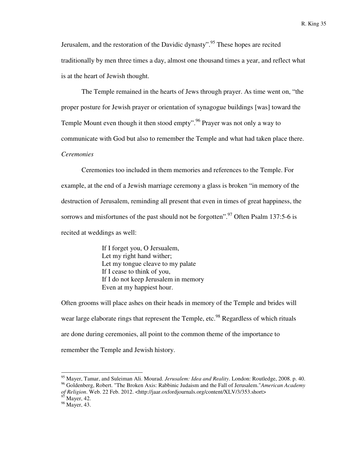Jerusalem, and the restoration of the Davidic dynasty".<sup>95</sup> These hopes are recited traditionally by men three times a day, almost one thousand times a year, and reflect what is at the heart of Jewish thought.

The Temple remained in the hearts of Jews through prayer. As time went on, "the proper posture for Jewish prayer or orientation of synagogue buildings [was] toward the Temple Mount even though it then stood empty".<sup>96</sup> Prayer was not only a way to communicate with God but also to remember the Temple and what had taken place there. *Ceremonies* 

Ceremonies too included in them memories and references to the Temple. For example, at the end of a Jewish marriage ceremony a glass is broken "in memory of the destruction of Jerusalem, reminding all present that even in times of great happiness, the sorrows and misfortunes of the past should not be forgotten".<sup>97</sup> Often Psalm 137:5-6 is recited at weddings as well:

> If I forget you, O Jersualem, Let my right hand wither; Let my tongue cleave to my palate If I cease to think of you, If I do not keep Jerusalem in memory Even at my happiest hour.

Often grooms will place ashes on their heads in memory of the Temple and brides will wear large elaborate rings that represent the Temple, etc.<sup>98</sup> Regardless of which rituals are done during ceremonies, all point to the common theme of the importance to remember the Temple and Jewish history.

<sup>95</sup> Mayer, Tamar, and Suleiman Ali. Mourad. *Jerusalem: Idea and Reality*. London: Routledge, 2008. p. 40. <sup>96</sup> Goldenberg, Robert. "The Broken Axis: Rabbinic Judaism and the Fall of Jerusalem."*American Academy* 

*of Religion*. Web. 22 Feb. 2012. <http://jaar.oxfordjournals.org/content/XLV/3/353.short>

 $97$  Mayer, 42.

<sup>98</sup> Mayer, 43.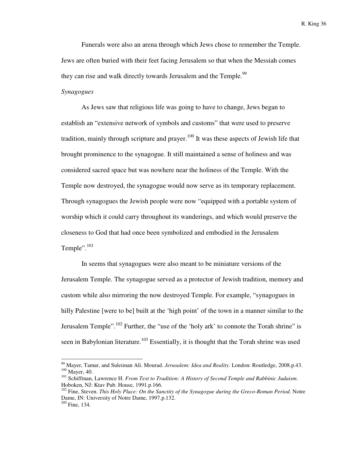Funerals were also an arena through which Jews chose to remember the Temple. Jews are often buried with their feet facing Jerusalem so that when the Messiah comes they can rise and walk directly towards Jerusalem and the Temple.<sup>99</sup>

# *Synagogues*

As Jews saw that religious life was going to have to change, Jews began to establish an "extensive network of symbols and customs" that were used to preserve tradition, mainly through scripture and prayer.<sup>100</sup> It was these aspects of Jewish life that brought prominence to the synagogue. It still maintained a sense of holiness and was considered sacred space but was nowhere near the holiness of the Temple. With the Temple now destroyed, the synagogue would now serve as its temporary replacement. Through synagogues the Jewish people were now "equipped with a portable system of worship which it could carry throughout its wanderings, and which would preserve the closeness to God that had once been symbolized and embodied in the Jerusalem Temple". $^{101}$ 

In seems that synagogues were also meant to be miniature versions of the Jerusalem Temple. The synagogue served as a protector of Jewish tradition, memory and custom while also mirroring the now destroyed Temple. For example, "synagogues in hilly Palestine [were to be] built at the 'high point' of the town in a manner similar to the Jerusalem Temple".<sup>102</sup> Further, the "use of the 'holy ark' to connote the Torah shrine" is seen in Babylonian literature.<sup>103</sup> Essentially, it is thought that the Torah shrine was used

<sup>99</sup> Mayer, Tamar, and Suleiman Ali. Mourad. *Jerusalem: Idea and Reality*. London: Routledge, 2008.p.43. <sup>100</sup> Mayer, 40.

<sup>101</sup> Schiffman, Lawrence H. *From Text to Tradition: A History of Second Temple and Rabbinic Judaism*. Hoboken, NJ: Ktav Pub. House, 1991.p.166.

<sup>&</sup>lt;sup>102</sup> Fine, Steven. *This Holy Place: On the Sanctity of the Synagogue during the Greco-Roman Period*. Notre Dame, IN: University of Notre Dame, 1997.p.132.

 $103$  Fine, 134.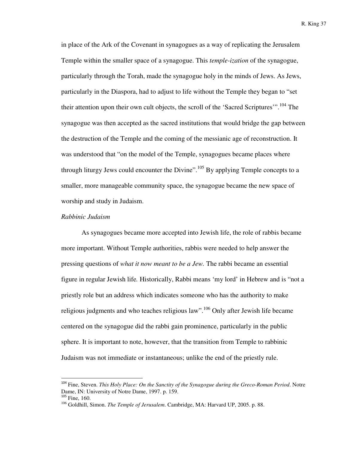in place of the Ark of the Covenant in synagogues as a way of replicating the Jerusalem Temple within the smaller space of a synagogue. This *temple-ization* of the synagogue, particularly through the Torah, made the synagogue holy in the minds of Jews. As Jews, particularly in the Diaspora, had to adjust to life without the Temple they began to "set their attention upon their own cult objects, the scroll of the 'Sacred Scriptures'".<sup>104</sup> The synagogue was then accepted as the sacred institutions that would bridge the gap between the destruction of the Temple and the coming of the messianic age of reconstruction. It was understood that "on the model of the Temple, synagogues became places where through liturgy Jews could encounter the Divine".<sup>105</sup> By applying Temple concepts to a smaller, more manageable community space, the synagogue became the new space of worship and study in Judaism.

## *Rabbinic Judaism*

As synagogues became more accepted into Jewish life, the role of rabbis became more important. Without Temple authorities, rabbis were needed to help answer the pressing questions of *what it now meant to be a Jew.* The rabbi became an essential figure in regular Jewish life*.* Historically, Rabbi means 'my lord' in Hebrew and is "not a priestly role but an address which indicates someone who has the authority to make religious judgments and who teaches religious law".<sup>106</sup> Only after Jewish life became centered on the synagogue did the rabbi gain prominence, particularly in the public sphere. It is important to note, however, that the transition from Temple to rabbinic Judaism was not immediate or instantaneous; unlike the end of the priestly rule.

<sup>104</sup> Fine, Steven. *This Holy Place: On the Sanctity of the Synagogue during the Greco-Roman Period*. Notre Dame, IN: University of Notre Dame, 1997. p. 159.

 $105$  Fine, 160.

<sup>106</sup> Goldhill, Simon. *The Temple of Jerusalem*. Cambridge, MA: Harvard UP, 2005. p. 88.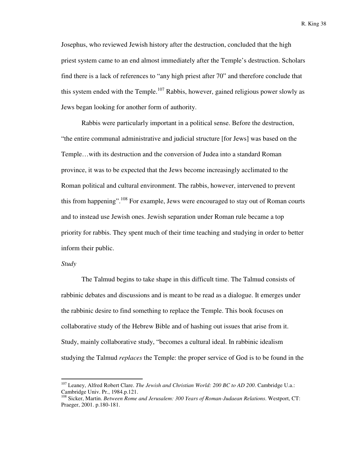Josephus, who reviewed Jewish history after the destruction, concluded that the high priest system came to an end almost immediately after the Temple's destruction. Scholars find there is a lack of references to "any high priest after 70" and therefore conclude that this system ended with the Temple.<sup>107</sup> Rabbis, however, gained religious power slowly as Jews began looking for another form of authority.

Rabbis were particularly important in a political sense. Before the destruction, "the entire communal administrative and judicial structure [for Jews] was based on the Temple…with its destruction and the conversion of Judea into a standard Roman province, it was to be expected that the Jews become increasingly acclimated to the Roman political and cultural environment. The rabbis, however, intervened to prevent this from happening".<sup>108</sup> For example, Jews were encouraged to stay out of Roman courts and to instead use Jewish ones. Jewish separation under Roman rule became a top priority for rabbis. They spent much of their time teaching and studying in order to better inform their public.

# *Study*

l

 The Talmud begins to take shape in this difficult time. The Talmud consists of rabbinic debates and discussions and is meant to be read as a dialogue. It emerges under the rabbinic desire to find something to replace the Temple. This book focuses on collaborative study of the Hebrew Bible and of hashing out issues that arise from it. Study, mainly collaborative study, "becomes a cultural ideal. In rabbinic idealism studying the Talmud *replaces* the Temple: the proper service of God is to be found in the

<sup>107</sup> Leaney, Alfred Robert Clare. *The Jewish and Christian World: 200 BC to AD 200*. Cambridge U.a.: Cambridge Univ. Pr., 1984.p.121.

<sup>108</sup> Sicker, Martin. *Between Rome and Jerusalem: 300 Years of Roman-Judaean Relations*. Westport, CT: Praeger, 2001. p.180-181.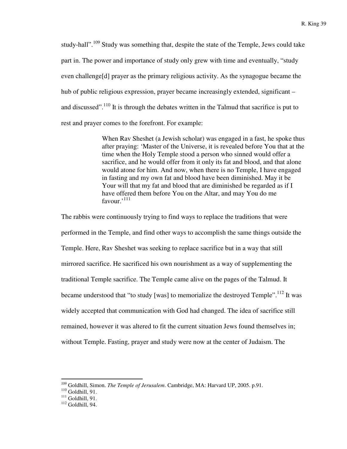study-hall".<sup>109</sup> Study was something that, despite the state of the Temple, Jews could take part in. The power and importance of study only grew with time and eventually, "study even challenge[d] prayer as the primary religious activity. As the synagogue became the hub of public religious expression, prayer became increasingly extended, significant – and discussed".<sup>110</sup> It is through the debates written in the Talmud that sacrifice is put to rest and prayer comes to the forefront. For example:

> When Rav Sheshet (a Jewish scholar) was engaged in a fast, he spoke thus after praying: 'Master of the Universe, it is revealed before You that at the time when the Holy Temple stood a person who sinned would offer a sacrifice, and he would offer from it only its fat and blood, and that alone would atone for him. And now, when there is no Temple, I have engaged in fasting and my own fat and blood have been diminished. May it be Your will that my fat and blood that are diminished be regarded as if I have offered them before You on the Altar, and may You do me  $f_{\text{AVOUIr}}$ <sup>, 111</sup>

The rabbis were continuously trying to find ways to replace the traditions that were performed in the Temple, and find other ways to accomplish the same things outside the Temple. Here, Rav Sheshet was seeking to replace sacrifice but in a way that still mirrored sacrifice. He sacrificed his own nourishment as a way of supplementing the traditional Temple sacrifice. The Temple came alive on the pages of the Talmud. It became understood that "to study [was] to memorialize the destroyed Temple".<sup>112</sup> It was widely accepted that communication with God had changed. The idea of sacrifice still remained, however it was altered to fit the current situation Jews found themselves in; without Temple. Fasting, prayer and study were now at the center of Judaism. The

<sup>109</sup> Goldhill, Simon. *The Temple of Jerusalem*. Cambridge, MA: Harvard UP, 2005. p.91.

<sup>110</sup> Goldhill, 91.

 $111$  Goldhill, 91.

 $112$  Goldhill, 94.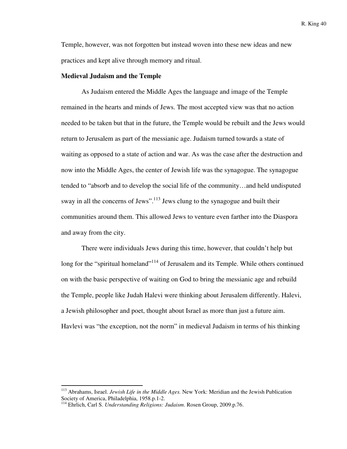Temple, however, was not forgotten but instead woven into these new ideas and new practices and kept alive through memory and ritual.

## **Medieval Judaism and the Temple**

 As Judaism entered the Middle Ages the language and image of the Temple remained in the hearts and minds of Jews. The most accepted view was that no action needed to be taken but that in the future, the Temple would be rebuilt and the Jews would return to Jerusalem as part of the messianic age. Judaism turned towards a state of waiting as opposed to a state of action and war. As was the case after the destruction and now into the Middle Ages, the center of Jewish life was the synagogue. The synagogue tended to "absorb and to develop the social life of the community…and held undisputed sway in all the concerns of Jews".<sup>113</sup> Jews clung to the synagogue and built their communities around them. This allowed Jews to venture even farther into the Diaspora and away from the city.

 There were individuals Jews during this time, however, that couldn't help but long for the "spiritual homeland"<sup>114</sup> of Jerusalem and its Temple. While others continued on with the basic perspective of waiting on God to bring the messianic age and rebuild the Temple, people like Judah Halevi were thinking about Jerusalem differently. Halevi, a Jewish philosopher and poet, thought about Israel as more than just a future aim. Havlevi was "the exception, not the norm" in medieval Judaism in terms of his thinking

<sup>113</sup> Abrahams, Israel. *Jewish Life in the Middle Ages.* New York: Meridian and the Jewish Publication Society of America, Philadelphia, 1958.p.1-2.

<sup>114</sup> Ehrlich, Carl S. *Understanding Religions: Judaism*. Rosen Group, 2009.p.76.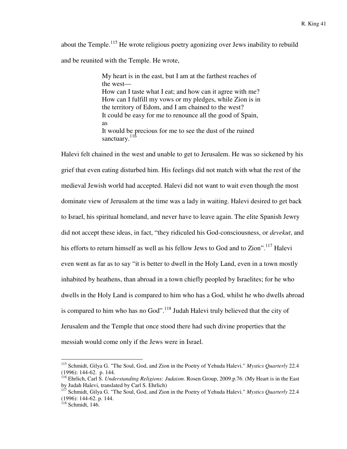about the Temple.<sup>115</sup> He wrote religious poetry agonizing over Jews inability to rebuild and be reunited with the Temple. He wrote,

> My heart is in the east, but I am at the farthest reaches of the west— How can I taste what I eat; and how can it agree with me? How can I fulfill my vows or my pledges, while Zion is in the territory of Edom, and I am chained to the west? It could be easy for me to renounce all the good of Spain, as It would be precious for me to see the dust of the ruined sanctuary. $^{11\bar{6}}$

Halevi felt chained in the west and unable to get to Jerusalem. He was so sickened by his grief that even eating disturbed him. His feelings did not match with what the rest of the medieval Jewish world had accepted. Halevi did not want to wait even though the most dominate view of Jerusalem at the time was a lady in waiting. Halevi desired to get back to Israel, his spiritual homeland, and never have to leave again. The elite Spanish Jewry did not accept these ideas, in fact, "they ridiculed his God-consciousness, or *devekut*, and his efforts to return himself as well as his fellow Jews to God and to Zion".<sup>117</sup> Halevi even went as far as to say "it is better to dwell in the Holy Land, even in a town mostly inhabited by heathens, than abroad in a town chiefly peopled by Israelites; for he who dwells in the Holy Land is compared to him who has a God, whilst he who dwells abroad is compared to him who has no God". $\frac{118}{118}$  Judah Halevi truly believed that the city of Jerusalem and the Temple that once stood there had such divine properties that the messiah would come only if the Jews were in Israel.

<sup>115</sup> Schmidt, Gilya G. "The Soul, God, and Zion in the Poetry of Yehuda Halevi." *Mystics Quarterly* 22.4 (1996): 144-62. p. 144.

<sup>116</sup> Ehrlich, Carl S. *Understanding Religions: Judaism*. Rosen Group, 2009.p.76. (My Heart is in the East by Judah Halevi, translated by Carl S. Ehrlich)

<sup>&</sup>lt;sup>117</sup> Schmidt, Gilya G. "The Soul, God, and Zion in the Poetry of Yehuda Halevi." *Mystics Quarterly* 22.4 (1996): 144-62. p. 144.

 $118$  Schmidt, 146.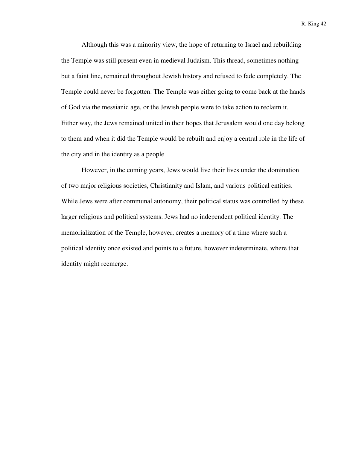Although this was a minority view, the hope of returning to Israel and rebuilding the Temple was still present even in medieval Judaism. This thread, sometimes nothing but a faint line, remained throughout Jewish history and refused to fade completely. The Temple could never be forgotten. The Temple was either going to come back at the hands of God via the messianic age, or the Jewish people were to take action to reclaim it. Either way, the Jews remained united in their hopes that Jerusalem would one day belong to them and when it did the Temple would be rebuilt and enjoy a central role in the life of the city and in the identity as a people.

However, in the coming years, Jews would live their lives under the domination of two major religious societies, Christianity and Islam, and various political entities. While Jews were after communal autonomy, their political status was controlled by these larger religious and political systems. Jews had no independent political identity. The memorialization of the Temple, however, creates a memory of a time where such a political identity once existed and points to a future, however indeterminate, where that identity might reemerge.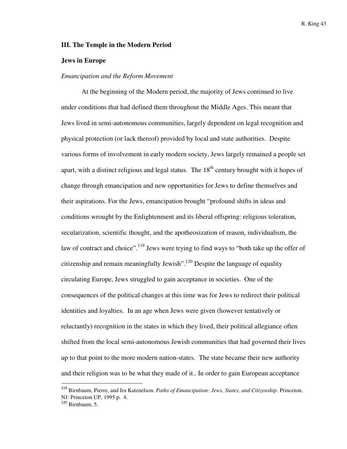## **III. The Temple in the Modern Period**

## **Jews in Europe**

### *Emancipation and the Reform Movement*

At the beginning of the Modern period, the majority of Jews continued to live under conditions that had defined them throughout the Middle Ages. This meant that Jews lived in semi-autonomous communities, largely dependent on legal recognition and physical protection (or lack thereof) provided by local and state authorities. Despite various forms of involvement in early modern society, Jews largely remained a people set apart, with a distinct religious and legal status. The  $18<sup>th</sup>$  century brought with it hopes of change through emancipation and new opportunities for Jews to define themselves and their aspirations. For the Jews, emancipation brought "profound shifts in ideas and conditions wrought by the Enlightenment and its liberal offspring: religious toleration, secularization, scientific thought, and the apotheosization of reason, individualism, the law of contract and choice".<sup>119</sup> Jews were trying to find ways to "both take up the offer of citizenship and remain meaningfully Jewish".<sup>120</sup> Despite the language of equality circulating Europe, Jews struggled to gain acceptance in societies. One of the consequences of the political changes at this time was for Jews to redirect their political identities and loyalties. In an age when Jews were given (however tentatively or reluctantly) recognition in the states in which they lived, their political allegiance often shifted from the local semi-autonomous Jewish communities that had governed their lives up to that point to the more modern nation-states. The state became their new authority and their religion was to be what they made of it.. In order to gain European acceptance

<sup>119</sup> Birnbaum, Pierre, and Ira Katznelson. *Paths of Emancipation: Jews, States, and Citizenship*. Princeton, NJ: Princeton UP, 1995.p. 4.

 $120$  Birnbaum, 5.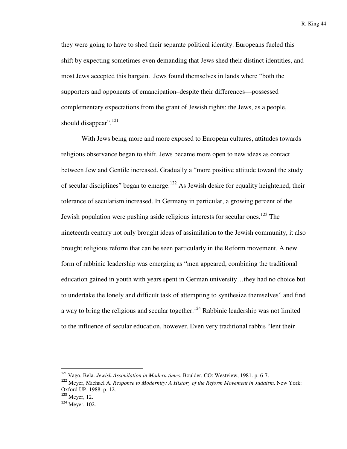they were going to have to shed their separate political identity. Europeans fueled this shift by expecting sometimes even demanding that Jews shed their distinct identities, and most Jews accepted this bargain. Jews found themselves in lands where "both the supporters and opponents of emancipation–despite their differences—possessed complementary expectations from the grant of Jewish rights: the Jews, as a people, should disappear".<sup>121</sup>

With Jews being more and more exposed to European cultures, attitudes towards religious observance began to shift. Jews became more open to new ideas as contact between Jew and Gentile increased. Gradually a "more positive attitude toward the study of secular disciplines" began to emerge.<sup>122</sup> As Jewish desire for equality heightened, their tolerance of secularism increased. In Germany in particular, a growing percent of the Jewish population were pushing aside religious interests for secular ones.<sup>123</sup> The nineteenth century not only brought ideas of assimilation to the Jewish community, it also brought religious reform that can be seen particularly in the Reform movement. A new form of rabbinic leadership was emerging as "men appeared, combining the traditional education gained in youth with years spent in German university…they had no choice but to undertake the lonely and difficult task of attempting to synthesize themselves" and find a way to bring the religious and secular together.<sup>124</sup> Rabbinic leadership was not limited to the influence of secular education, however. Even very traditional rabbis "lent their

<sup>121</sup> Vago, Bela. *Jewish Assimilation in Modern times*. Boulder, CO: Westview, 1981. p. 6-7.

<sup>122</sup> Meyer, Michael A. *Response to Modernity: A History of the Reform Movement in Judaism*. New York: Oxford UP, 1988. p. 12.

 $123$  Meyer, 12.

<sup>124</sup> Meyer, 102.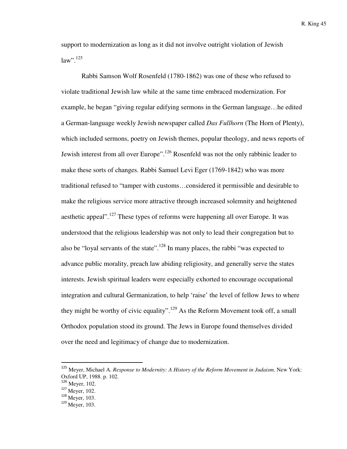support to modernization as long as it did not involve outright violation of Jewish  $law$ ".<sup>125</sup>

Rabbi Samson Wolf Rosenfeld (1780-1862) was one of these who refused to violate traditional Jewish law while at the same time embraced modernization. For example, he began "giving regular edifying sermons in the German language…he edited a German-language weekly Jewish newspaper called *Das Fullhorn* (The Horn of Plenty), which included sermons, poetry on Jewish themes, popular theology, and news reports of Jewish interest from all over Europe".<sup>126</sup> Rosenfeld was not the only rabbinic leader to make these sorts of changes. Rabbi Samuel Levi Eger (1769-1842) who was more traditional refused to "tamper with customs…considered it permissible and desirable to make the religious service more attractive through increased solemnity and heightened aesthetic appeal".<sup>127</sup> These types of reforms were happening all over Europe. It was understood that the religious leadership was not only to lead their congregation but to also be "loyal servants of the state".<sup>128</sup> In many places, the rabbi "was expected to advance public morality, preach law abiding religiosity, and generally serve the states interests. Jewish spiritual leaders were especially exhorted to encourage occupational integration and cultural Germanization, to help 'raise' the level of fellow Jews to where they might be worthy of civic equality".<sup>129</sup> As the Reform Movement took off, a small Orthodox population stood its ground. The Jews in Europe found themselves divided over the need and legitimacy of change due to modernization.

<sup>125</sup> Meyer, Michael A. *Response to Modernity: A History of the Reform Movement in Judaism*. New York: Oxford UP, 1988. p. 102.

<sup>126</sup> Meyer, 102.

<sup>127</sup> Meyer, 102.

<sup>128</sup> Meyer, 103.

 $129$  Meyer, 103.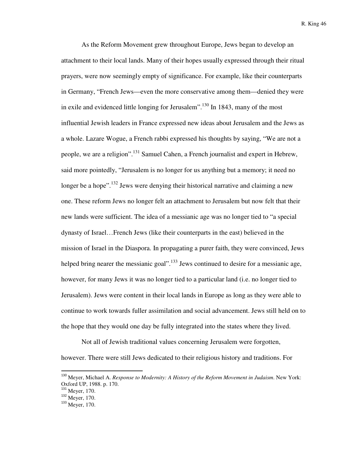As the Reform Movement grew throughout Europe, Jews began to develop an attachment to their local lands. Many of their hopes usually expressed through their ritual prayers, were now seemingly empty of significance. For example, like their counterparts in Germany, "French Jews—even the more conservative among them—denied they were in exile and evidenced little longing for Jerusalem".<sup>130</sup> In 1843, many of the most influential Jewish leaders in France expressed new ideas about Jerusalem and the Jews as a whole. Lazare Wogue, a French rabbi expressed his thoughts by saying, "We are not a people, we are a religion".<sup>131</sup> Samuel Cahen, a French journalist and expert in Hebrew, said more pointedly, "Jerusalem is no longer for us anything but a memory; it need no longer be a hope".<sup>132</sup> Jews were denying their historical narrative and claiming a new one. These reform Jews no longer felt an attachment to Jerusalem but now felt that their new lands were sufficient. The idea of a messianic age was no longer tied to "a special dynasty of Israel…French Jews (like their counterparts in the east) believed in the mission of Israel in the Diaspora. In propagating a purer faith, they were convinced, Jews helped bring nearer the messianic goal".<sup>133</sup> Jews continued to desire for a messianic age, however, for many Jews it was no longer tied to a particular land (i.e. no longer tied to Jerusalem). Jews were content in their local lands in Europe as long as they were able to continue to work towards fuller assimilation and social advancement. Jews still held on to the hope that they would one day be fully integrated into the states where they lived.

Not all of Jewish traditional values concerning Jerusalem were forgotten, however. There were still Jews dedicated to their religious history and traditions. For

<sup>130</sup> Meyer, Michael A. *Response to Modernity: A History of the Reform Movement in Judaism*. New York: Oxford UP, 1988. p. 170.

<sup>&</sup>lt;sup>131</sup> Meyer, 170.

<sup>&</sup>lt;sup>132</sup> Meyer, 170.

<sup>&</sup>lt;sup>133</sup> Meyer, 170.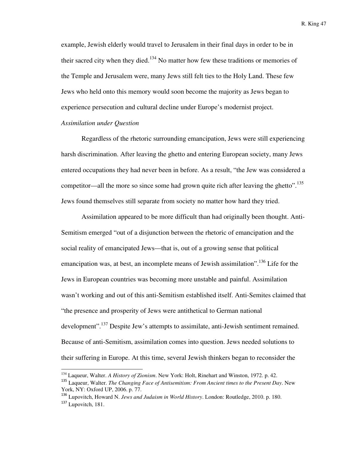example, Jewish elderly would travel to Jerusalem in their final days in order to be in their sacred city when they died.<sup>134</sup> No matter how few these traditions or memories of the Temple and Jerusalem were, many Jews still felt ties to the Holy Land. These few Jews who held onto this memory would soon become the majority as Jews began to experience persecution and cultural decline under Europe's modernist project.

# *Assimilation under Question*

l

Regardless of the rhetoric surrounding emancipation, Jews were still experiencing harsh discrimination. After leaving the ghetto and entering European society, many Jews entered occupations they had never been in before. As a result, "the Jew was considered a competitor—all the more so since some had grown quite rich after leaving the ghetto".<sup>135</sup> Jews found themselves still separate from society no matter how hard they tried.

Assimilation appeared to be more difficult than had originally been thought. Anti-Semitism emerged "out of a disjunction between the rhetoric of emancipation and the social reality of emancipated Jews—that is, out of a growing sense that political emancipation was, at best, an incomplete means of Jewish assimilation".<sup>136</sup> Life for the Jews in European countries was becoming more unstable and painful. Assimilation wasn't working and out of this anti-Semitism established itself. Anti-Semites claimed that "the presence and prosperity of Jews were antithetical to German national development".<sup>137</sup> Despite Jew's attempts to assimilate, anti-Jewish sentiment remained. Because of anti-Semitism, assimilation comes into question. Jews needed solutions to their suffering in Europe. At this time, several Jewish thinkers began to reconsider the

<sup>134</sup> Laqueur, Walter. *A History of Zionism*. New York: Holt, Rinehart and Winston, 1972. p. 42.

<sup>135</sup> Laqueur, Walter. *The Changing Face of Antisemitism: From Ancient times to the Present Day*. New York, NY: Oxford UP, 2006. p. 77.

<sup>136</sup> Lupovitch, Howard N. *Jews and Judaism in World History*. London: Routledge, 2010. p. 180. <sup>137</sup> Lupovitch, 181.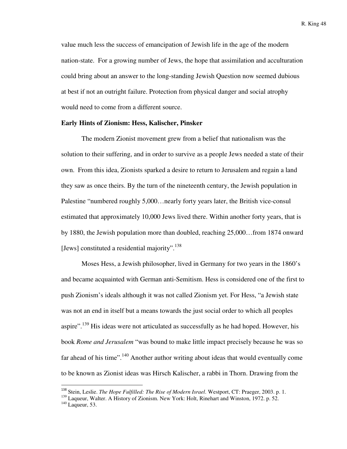value much less the success of emancipation of Jewish life in the age of the modern nation-state. For a growing number of Jews, the hope that assimilation and acculturation could bring about an answer to the long-standing Jewish Question now seemed dubious at best if not an outright failure. Protection from physical danger and social atrophy would need to come from a different source.

## **Early Hints of Zionism: Hess, Kalischer, Pinsker**

The modern Zionist movement grew from a belief that nationalism was the solution to their suffering, and in order to survive as a people Jews needed a state of their own. From this idea, Zionists sparked a desire to return to Jerusalem and regain a land they saw as once theirs. By the turn of the nineteenth century, the Jewish population in Palestine "numbered roughly 5,000... nearly forty years later, the British vice-consul estimated that approximately 10,000 Jews lived there. Within another forty years, that is by 1880, the Jewish population more than doubled, reaching 25,000…from 1874 onward [Jews] constituted a residential majority".<sup>138</sup>

Moses Hess, a Jewish philosopher, lived in Germany for two years in the 1860's and became acquainted with German anti-Semitism. Hess is considered one of the first to push Zionism's ideals although it was not called Zionism yet. For Hess, "a Jewish state was not an end in itself but a means towards the just social order to which all peoples aspire".<sup>139</sup> His ideas were not articulated as successfully as he had hoped. However, his book *Rome and Jerusalem* "was bound to make little impact precisely because he was so far ahead of his time".<sup>140</sup> Another author writing about ideas that would eventually come to be known as Zionist ideas was Hirsch Kalischer, a rabbi in Thorn. Drawing from the

<sup>138</sup> Stein, Leslie. *The Hope Fulfilled: The Rise of Modern Israel*. Westport, CT: Praeger, 2003. p. 1.

<sup>&</sup>lt;sup>139</sup> Laqueur, Walter. A History of Zionism. New York: Holt, Rinehart and Winston, 1972. p. 52.

 $140$  Laqueur, 53.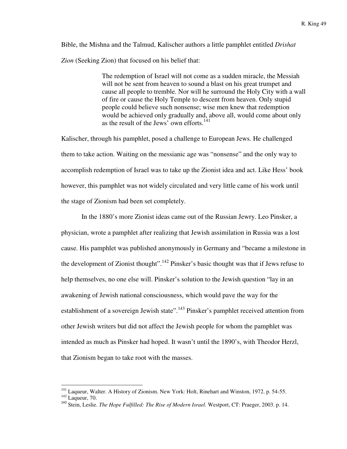Bible, the Mishna and the Talmud, Kalischer authors a little pamphlet entitled *Drishat Zion* (Seeking Zion) that focused on his belief that:

> The redemption of Israel will not come as a sudden miracle, the Messiah will not be sent from heaven to sound a blast on his great trumpet and cause all people to tremble. Nor will he surround the Holy City with a wall of fire or cause the Holy Temple to descent from heaven. Only stupid people could believe such nonsense; wise men knew that redemption would be achieved only gradually and, above all, would come about only as the result of the Jews' own efforts.<sup>141</sup>

Kalischer, through his pamphlet, posed a challenge to European Jews. He challenged them to take action. Waiting on the messianic age was "nonsense" and the only way to accomplish redemption of Israel was to take up the Zionist idea and act. Like Hess' book however, this pamphlet was not widely circulated and very little came of his work until the stage of Zionism had been set completely.

 In the 1880's more Zionist ideas came out of the Russian Jewry. Leo Pinsker, a physician, wrote a pamphlet after realizing that Jewish assimilation in Russia was a lost cause. His pamphlet was published anonymously in Germany and "became a milestone in the development of Zionist thought".<sup>142</sup> Pinsker's basic thought was that if Jews refuse to help themselves, no one else will. Pinsker's solution to the Jewish question "lay in an awakening of Jewish national consciousness, which would pave the way for the establishment of a sovereign Jewish state".<sup>143</sup> Pinsker's pamphlet received attention from other Jewish writers but did not affect the Jewish people for whom the pamphlet was intended as much as Pinsker had hoped. It wasn't until the 1890's, with Theodor Herzl, that Zionism began to take root with the masses.

<sup>&</sup>lt;sup>141</sup> Laqueur, Walter. A History of Zionism. New York: Holt, Rinehart and Winston, 1972. p. 54-55.

 $142$  Laqueur, 70.

<sup>143</sup> Stein, Leslie. *The Hope Fulfilled: The Rise of Modern Israel*. Westport, CT: Praeger, 2003. p. 14.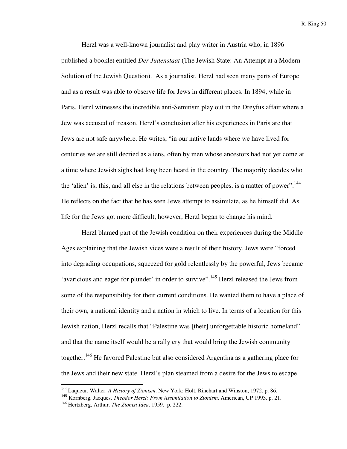Herzl was a well-known journalist and play writer in Austria who, in 1896 published a booklet entitled *Der Judenstaat* (The Jewish State: An Attempt at a Modern Solution of the Jewish Question). As a journalist, Herzl had seen many parts of Europe and as a result was able to observe life for Jews in different places. In 1894, while in Paris, Herzl witnesses the incredible anti-Semitism play out in the Dreyfus affair where a Jew was accused of treason. Herzl's conclusion after his experiences in Paris are that Jews are not safe anywhere. He writes, "in our native lands where we have lived for centuries we are still decried as aliens, often by men whose ancestors had not yet come at a time where Jewish sighs had long been heard in the country. The majority decides who the 'alien' is; this, and all else in the relations between peoples, is a matter of power".<sup>144</sup> He reflects on the fact that he has seen Jews attempt to assimilate, as he himself did. As life for the Jews got more difficult, however, Herzl began to change his mind.

Herzl blamed part of the Jewish condition on their experiences during the Middle Ages explaining that the Jewish vices were a result of their history. Jews were "forced into degrading occupations, squeezed for gold relentlessly by the powerful, Jews became 'avaricious and eager for plunder' in order to survive".<sup>145</sup> Herzl released the Jews from some of the responsibility for their current conditions. He wanted them to have a place of their own, a national identity and a nation in which to live. In terms of a location for this Jewish nation, Herzl recalls that "Palestine was [their] unforgettable historic homeland" and that the name itself would be a rally cry that would bring the Jewish community together.<sup>146</sup> He favored Palestine but also considered Argentina as a gathering place for the Jews and their new state. Herzl's plan steamed from a desire for the Jews to escape

<sup>144</sup> Laqueur, Walter. *A History of Zionism*. New York: Holt, Rinehart and Winston, 1972. p. 86.

<sup>145</sup> Kornberg, Jacques. *Theodor Herzl: From Assimilation to Zionism*. American, UP 1993. p. 21.

<sup>146</sup> Hertzberg, Arthur. *The Zionist Idea*. 1959. p. 222.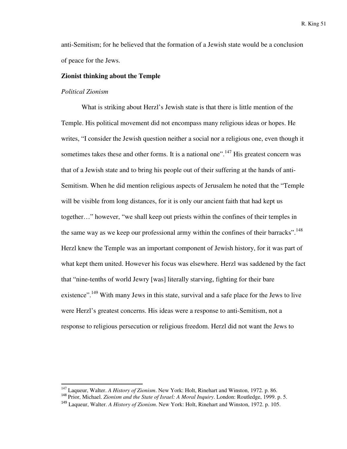anti-Semitism; for he believed that the formation of a Jewish state would be a conclusion of peace for the Jews.

## **Zionist thinking about the Temple**

#### *Political Zionism*

 $\overline{a}$ 

What is striking about Herzl's Jewish state is that there is little mention of the Temple. His political movement did not encompass many religious ideas or hopes. He writes, "I consider the Jewish question neither a social nor a religious one, even though it sometimes takes these and other forms. It is a national one".<sup>147</sup> His greatest concern was that of a Jewish state and to bring his people out of their suffering at the hands of anti-Semitism. When he did mention religious aspects of Jerusalem he noted that the "Temple will be visible from long distances, for it is only our ancient faith that had kept us together…" however, "we shall keep out priests within the confines of their temples in the same way as we keep our professional army within the confines of their barracks".<sup>148</sup> Herzl knew the Temple was an important component of Jewish history, for it was part of what kept them united. However his focus was elsewhere. Herzl was saddened by the fact that "nine-tenths of world Jewry [was] literally starving, fighting for their bare existence".<sup>149</sup> With many Jews in this state, survival and a safe place for the Jews to live were Herzl's greatest concerns. His ideas were a response to anti-Semitism, not a response to religious persecution or religious freedom. Herzl did not want the Jews to

<sup>147</sup> Laqueur, Walter. *A History of Zionism*. New York: Holt, Rinehart and Winston, 1972. p. 86.

<sup>148</sup> Prior, Michael. *Zionism and the State of Israel: A Moral Inquiry*. London: Routledge, 1999. p. 5.

<sup>149</sup> Laqueur, Walter. *A History of Zionism*. New York: Holt, Rinehart and Winston, 1972. p. 105.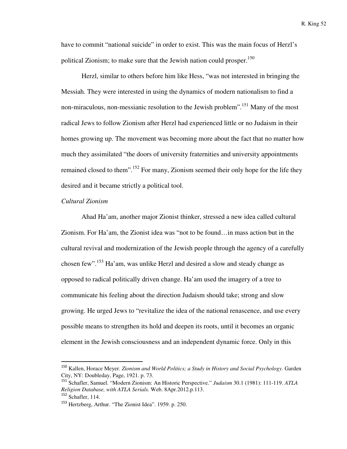have to commit "national suicide" in order to exist. This was the main focus of Herzl's political Zionism; to make sure that the Jewish nation could prosper.<sup>150</sup>

Herzl, similar to others before him like Hess, "was not interested in bringing the Messiah. They were interested in using the dynamics of modern nationalism to find a non-miraculous, non-messianic resolution to the Jewish problem". <sup>151</sup> Many of the most radical Jews to follow Zionism after Herzl had experienced little or no Judaism in their homes growing up. The movement was becoming more about the fact that no matter how much they assimilated "the doors of university fraternities and university appointments remained closed to them".<sup>152</sup> For many, Zionism seemed their only hope for the life they desired and it became strictly a political tool.

## *Cultural Zionism*

Ahad Ha'am, another major Zionist thinker, stressed a new idea called cultural Zionism. For Ha'am, the Zionist idea was "not to be found…in mass action but in the cultural revival and modernization of the Jewish people through the agency of a carefully chosen few".<sup>153</sup> Ha'am, was unlike Herzl and desired a slow and steady change as opposed to radical politically driven change. Ha'am used the imagery of a tree to communicate his feeling about the direction Judaism should take; strong and slow growing. He urged Jews to "revitalize the idea of the national renascence, and use every possible means to strengthen its hold and deepen its roots, until it becomes an organic element in the Jewish consciousness and an independent dynamic force. Only in this

<sup>150</sup> Kallen, Horace Meyer. *Zionism and World Politics; a Study in History and Social Psychology*. Garden City, NY: Doubleday, Page, 1921. p. 73.

<sup>151</sup> Schafler, Samuel. "Modern Zionism: An Historic Perspective." *Judaism* 30.1 (1981): 111-119. *ATLA Religion Database, with ATLA Serials.* Web. 8Apr.2012.p.113.

 $152$  Schafler, 114.

<sup>153</sup> Hertzberg, Arthur. "The Zionist Idea". 1959. p. 250.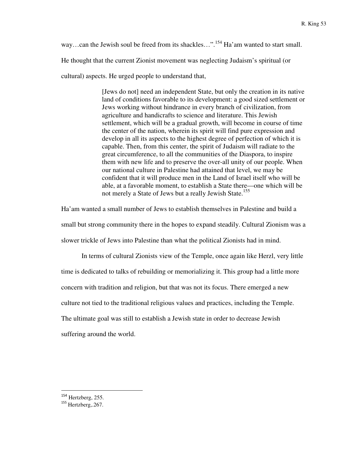way...can the Jewish soul be freed from its shackles...".<sup>154</sup> Ha'am wanted to start small.

He thought that the current Zionist movement was neglecting Judaism's spiritual (or

cultural) aspects. He urged people to understand that,

[Jews do not] need an independent State, but only the creation in its native land of conditions favorable to its development: a good sized settlement or Jews working without hindrance in every branch of civilization, from agriculture and handicrafts to science and literature. This Jewish settlement, which will be a gradual growth, will become in course of time the center of the nation, wherein its spirit will find pure expression and develop in all its aspects to the highest degree of perfection of which it is capable. Then, from this center, the spirit of Judaism will radiate to the great circumference, to all the communities of the Diaspora, to inspire them with new life and to preserve the over-all unity of our people. When our national culture in Palestine had attained that level, we may be confident that it will produce men in the Land of Israel itself who will be able, at a favorable moment, to establish a State there—one which will be not merely a State of Jews but a really Jewish State.<sup>155</sup>

Ha'am wanted a small number of Jews to establish themselves in Palestine and build a small but strong community there in the hopes to expand steadily. Cultural Zionism was a slower trickle of Jews into Palestine than what the political Zionists had in mind.

 In terms of cultural Zionists view of the Temple, once again like Herzl, very little time is dedicated to talks of rebuilding or memorializing it. This group had a little more concern with tradition and religion, but that was not its focus. There emerged a new culture not tied to the traditional religious values and practices, including the Temple. The ultimate goal was still to establish a Jewish state in order to decrease Jewish suffering around the world.

<sup>154</sup> Hertzberg, 255.

 $155$  Hertzberg, 267.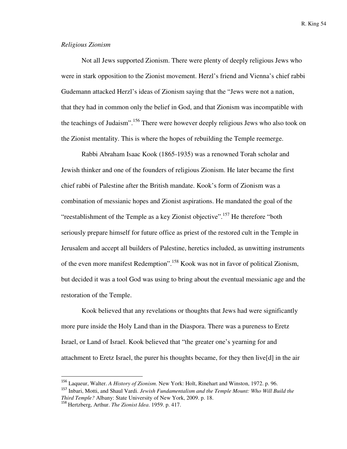## *Religious Zionism*

 Not all Jews supported Zionism. There were plenty of deeply religious Jews who were in stark opposition to the Zionist movement. Herzl's friend and Vienna's chief rabbi Gudemann attacked Herzl's ideas of Zionism saying that the "Jews were not a nation, that they had in common only the belief in God, and that Zionism was incompatible with the teachings of Judaism".<sup>156</sup> There were however deeply religious Jews who also took on the Zionist mentality. This is where the hopes of rebuilding the Temple reemerge.

 Rabbi Abraham Isaac Kook (1865-1935) was a renowned Torah scholar and Jewish thinker and one of the founders of religious Zionism. He later became the first chief rabbi of Palestine after the British mandate. Kook's form of Zionism was a combination of messianic hopes and Zionist aspirations. He mandated the goal of the "reestablishment of the Temple as a key Zionist objective".<sup>157</sup> He therefore "both" seriously prepare himself for future office as priest of the restored cult in the Temple in Jerusalem and accept all builders of Palestine, heretics included, as unwitting instruments of the even more manifest Redemption".<sup>158</sup> Kook was not in favor of political Zionism, but decided it was a tool God was using to bring about the eventual messianic age and the restoration of the Temple.

Kook believed that any revelations or thoughts that Jews had were significantly more pure inside the Holy Land than in the Diaspora. There was a pureness to Eretz Israel, or Land of Israel. Kook believed that "the greater one's yearning for and attachment to Eretz Israel, the purer his thoughts became, for they then live[d] in the air

<sup>156</sup> Laqueur, Walter. *A History of Zionism*. New York: Holt, Rinehart and Winston, 1972. p. 96.

<sup>157</sup> Inbari, Motti, and Shaul Vardi. *Jewish Fundamentalism and the Temple Mount: Who Will Build the Third Temple?* Albany: State University of New York, 2009. p. 18.

<sup>158</sup> Hertzberg, Arthur. *The Zionist Idea*. 1959. p. 417.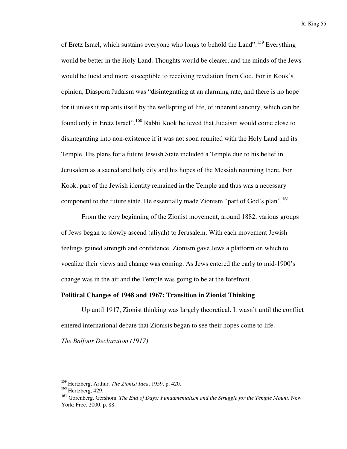of Eretz Israel, which sustains everyone who longs to behold the Land".<sup>159</sup> Everything would be better in the Holy Land. Thoughts would be clearer, and the minds of the Jews would be lucid and more susceptible to receiving revelation from God. For in Kook's opinion, Diaspora Judaism was "disintegrating at an alarming rate, and there is no hope for it unless it replants itself by the wellspring of life, of inherent sanctity, which can be found only in Eretz Israel".<sup>160</sup> Rabbi Kook believed that Judaism would come close to disintegrating into non-existence if it was not soon reunited with the Holy Land and its Temple. His plans for a future Jewish State included a Temple due to his belief in Jerusalem as a sacred and holy city and his hopes of the Messiah returning there. For Kook, part of the Jewish identity remained in the Temple and thus was a necessary component to the future state. He essentially made Zionism "part of God's plan".<sup>161</sup>

 From the very beginning of the Zionist movement, around 1882, various groups of Jews began to slowly ascend (aliyah) to Jerusalem. With each movement Jewish feelings gained strength and confidence. Zionism gave Jews a platform on which to vocalize their views and change was coming. As Jews entered the early to mid-1900's change was in the air and the Temple was going to be at the forefront.

## **Political Changes of 1948 and 1967: Transition in Zionist Thinking**

 Up until 1917, Zionist thinking was largely theoretical. It wasn't until the conflict entered international debate that Zionists began to see their hopes come to life.

*The Balfour Declaration (1917)* 

<sup>159</sup> Hertzberg, Arthur. *The Zionist Idea*. 1959. p. 420.

<sup>&</sup>lt;sup>160</sup> Hertzberg, 429.

<sup>161</sup> Gorenberg, Gershom. *The End of Days: Fundamentalism and the Struggle for the Temple Mount*. New York: Free, 2000. p. 88.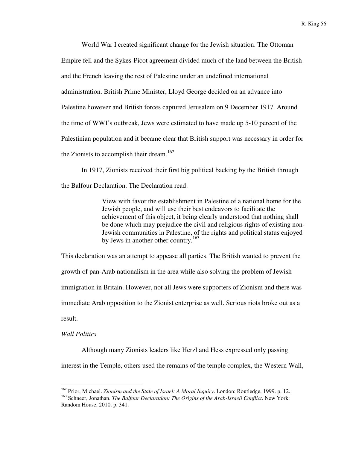World War I created significant change for the Jewish situation. The Ottoman Empire fell and the Sykes-Picot agreement divided much of the land between the British and the French leaving the rest of Palestine under an undefined international administration. British Prime Minister, Lloyd George decided on an advance into Palestine however and British forces captured Jerusalem on 9 December 1917. Around the time of WWI's outbreak, Jews were estimated to have made up 5-10 percent of the Palestinian population and it became clear that British support was necessary in order for the Zionists to accomplish their dream.<sup>162</sup>

 In 1917, Zionists received their first big political backing by the British through the Balfour Declaration. The Declaration read:

> View with favor the establishment in Palestine of a national home for the Jewish people, and will use their best endeavors to facilitate the achievement of this object, it being clearly understood that nothing shall be done which may prejudice the civil and religious rights of existing non-Jewish communities in Palestine, of the rights and political status enjoyed by Jews in another other country.<sup>163</sup>

This declaration was an attempt to appease all parties. The British wanted to prevent the growth of pan-Arab nationalism in the area while also solving the problem of Jewish immigration in Britain. However, not all Jews were supporters of Zionism and there was immediate Arab opposition to the Zionist enterprise as well. Serious riots broke out as a result.

# *Wall Politics*

 $\overline{a}$ 

 Although many Zionists leaders like Herzl and Hess expressed only passing interest in the Temple, others used the remains of the temple complex, the Western Wall,

<sup>162</sup> Prior, Michael. *Zionism and the State of Israel: A Moral Inquiry*. London: Routledge, 1999. p. 12.

<sup>163</sup> Schneer, Jonathan. *The Balfour Declaration: The Origins of the Arab-Israeli Conflict*. New York: Random House, 2010. p. 341.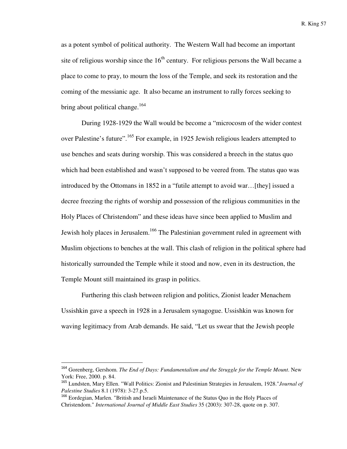as a potent symbol of political authority. The Western Wall had become an important site of religious worship since the  $16<sup>th</sup>$  century. For religious persons the Wall became a place to come to pray, to mourn the loss of the Temple, and seek its restoration and the coming of the messianic age. It also became an instrument to rally forces seeking to bring about political change.<sup>164</sup>

During 1928-1929 the Wall would be become a "microcosm of the wider contest over Palestine's future".<sup>165</sup> For example, in 1925 Jewish religious leaders attempted to use benches and seats during worship. This was considered a breech in the status quo which had been established and wasn't supposed to be veered from. The status quo was introduced by the Ottomans in 1852 in a "futile attempt to avoid war…[they] issued a decree freezing the rights of worship and possession of the religious communities in the Holy Places of Christendom" and these ideas have since been applied to Muslim and Jewish holy places in Jerusalem.<sup>166</sup> The Palestinian government ruled in agreement with Muslim objections to benches at the wall. This clash of religion in the political sphere had historically surrounded the Temple while it stood and now, even in its destruction, the Temple Mount still maintained its grasp in politics.

Furthering this clash between religion and politics, Zionist leader Menachem Ussishkin gave a speech in 1928 in a Jerusalem synagogue. Ussishkin was known for waving legitimacy from Arab demands. He said, "Let us swear that the Jewish people

<sup>164</sup> Gorenberg, Gershom. *The End of Days: Fundamentalism and the Struggle for the Temple Mount*. New York: Free, 2000. p. 84.

<sup>165</sup> Lundsten, Mary Ellen. "Wall Politics: Zionist and Palestinian Strategies in Jerusalem, 1928."*Journal of Palestine Studies* 8.1 (1978): 3-27.p.5.

<sup>166</sup> Eordegian, Marlen. "British and Israeli Maintenance of the Status Quo in the Holy Places of Christendom." *International Journal of Middle East Studies* 35 (2003): 307-28, quote on p. 307.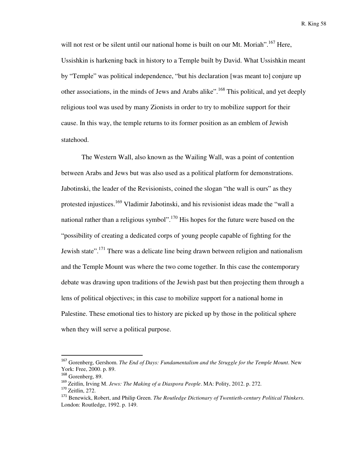will not rest or be silent until our national home is built on our Mt. Moriah",  $^{167}$  Here, Ussishkin is harkening back in history to a Temple built by David. What Ussishkin meant by "Temple" was political independence, "but his declaration [was meant to] conjure up other associations, in the minds of Jews and Arabs alike".<sup>168</sup> This political, and yet deeply religious tool was used by many Zionists in order to try to mobilize support for their cause. In this way, the temple returns to its former position as an emblem of Jewish statehood.

The Western Wall, also known as the Wailing Wall, was a point of contention between Arabs and Jews but was also used as a political platform for demonstrations. Jabotinski, the leader of the Revisionists, coined the slogan "the wall is ours" as they protested injustices.<sup>169</sup> Vladimir Jabotinski, and his revisionist ideas made the "wall a national rather than a religious symbol".<sup>170</sup> His hopes for the future were based on the "possibility of creating a dedicated corps of young people capable of fighting for the Jewish state".<sup>171</sup> There was a delicate line being drawn between religion and nationalism and the Temple Mount was where the two come together. In this case the contemporary debate was drawing upon traditions of the Jewish past but then projecting them through a lens of political objectives; in this case to mobilize support for a national home in Palestine. These emotional ties to history are picked up by those in the political sphere when they will serve a political purpose.

<sup>167</sup> Gorenberg, Gershom. *The End of Days: Fundamentalism and the Struggle for the Temple Mount*. New York: Free, 2000. p. 89.

<sup>168</sup> Gorenberg, 89.

<sup>169</sup> Zeitlin, Irving M. *Jews: The Making of a Diaspora People*. MA: Polity, 2012. p. 272.

<sup>170</sup> Zeitlin, 272.

<sup>171</sup> Benewick, Robert, and Philip Green. *The Routledge Dictionary of Twentieth-century Political Thinkers*. London: Routledge, 1992. p. 149.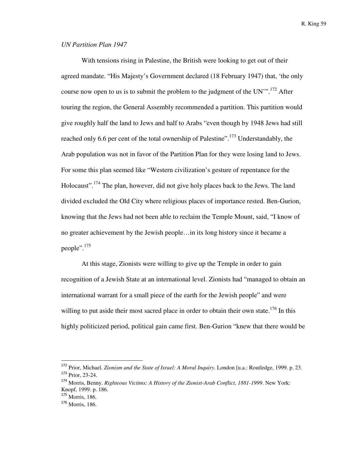# *UN Partition Plan 1947*

With tensions rising in Palestine, the British were looking to get out of their agreed mandate. "His Majesty's Government declared (18 February 1947) that, 'the only course now open to us is to submit the problem to the judgment of the UN'".<sup>172</sup> After touring the region, the General Assembly recommended a partition. This partition would give roughly half the land to Jews and half to Arabs "even though by 1948 Jews had still reached only 6.6 per cent of the total ownership of Palestine".<sup>173</sup> Understandably, the Arab population was not in favor of the Partition Plan for they were losing land to Jews. For some this plan seemed like "Western civilization's gesture of repentance for the Holocaust".<sup>174</sup> The plan, however, did not give holy places back to the Jews. The land divided excluded the Old City where religious places of importance rested. Ben-Gurion, knowing that the Jews had not been able to reclaim the Temple Mount, said, "I know of no greater achievement by the Jewish people…in its long history since it became a people".<sup>175</sup>

At this stage, Zionists were willing to give up the Temple in order to gain recognition of a Jewish State at an international level. Zionists had "managed to obtain an international warrant for a small piece of the earth for the Jewish people" and were willing to put aside their most sacred place in order to obtain their own state.<sup>176</sup> In this highly politicized period, political gain came first. Ben-Gurion "knew that there would be

<sup>172</sup> Prior, Michael. *Zionism and the State of Israel: A Moral Inquiry*. London [u.a.: Routledge, 1999. p. 23. <sup>173</sup> Prior, 23-24.

<sup>174</sup> Morris, Benny. *Righteous Victims: A History of the Zionist-Arab Conflict, 1881-1999*. New York: Knopf, 1999. p. 186.

<sup>175</sup> Morris, 186.

<sup>176</sup> Morris, 186.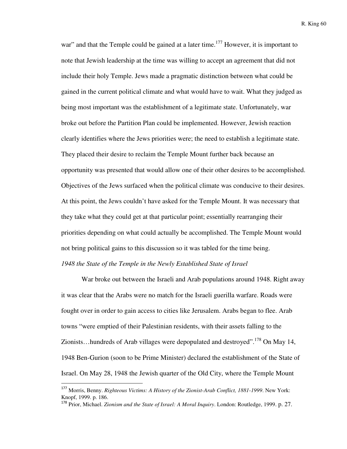war" and that the Temple could be gained at a later time.<sup>177</sup> However, it is important to note that Jewish leadership at the time was willing to accept an agreement that did not include their holy Temple. Jews made a pragmatic distinction between what could be gained in the current political climate and what would have to wait. What they judged as being most important was the establishment of a legitimate state. Unfortunately, war broke out before the Partition Plan could be implemented. However, Jewish reaction clearly identifies where the Jews priorities were; the need to establish a legitimate state. They placed their desire to reclaim the Temple Mount further back because an opportunity was presented that would allow one of their other desires to be accomplished. Objectives of the Jews surfaced when the political climate was conducive to their desires. At this point, the Jews couldn't have asked for the Temple Mount. It was necessary that they take what they could get at that particular point; essentially rearranging their priorities depending on what could actually be accomplished. The Temple Mount would not bring political gains to this discussion so it was tabled for the time being. *1948 the State of the Temple in the Newly Established State of Israel* 

 War broke out between the Israeli and Arab populations around 1948. Right away it was clear that the Arabs were no match for the Israeli guerilla warfare. Roads were fought over in order to gain access to cities like Jerusalem. Arabs began to flee. Arab towns "were emptied of their Palestinian residents, with their assets falling to the Zionists...hundreds of Arab villages were depopulated and destroyed".<sup>178</sup> On May 14, 1948 Ben-Gurion (soon to be Prime Minister) declared the establishment of the State of Israel. On May 28, 1948 the Jewish quarter of the Old City, where the Temple Mount

<sup>177</sup> Morris, Benny. *Righteous Victims: A History of the Zionist-Arab Conflict, 1881-1999*. New York: Knopf, 1999. p. 186.

<sup>178</sup> Prior, Michael. *Zionism and the State of Israel: A Moral Inquiry*. London: Routledge, 1999. p. 27.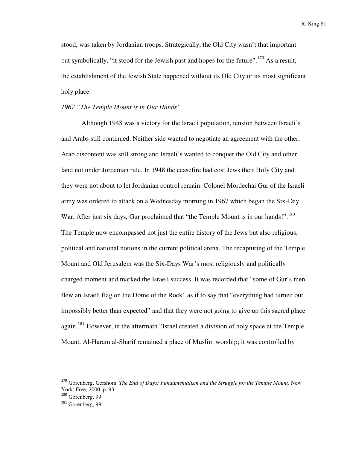stood, was taken by Jordanian troops. Strategically, the Old City wasn't that important but symbolically, "it stood for the Jewish past and hopes for the future".<sup>179</sup> As a result, the establishment of the Jewish State happened without its Old City or its most significant holy place.

## *1967 "The Temple Mount is in Our Hands"*

Although 1948 was a victory for the Israeli population, tension between Israeli's and Arabs still continued. Neither side wanted to negotiate an agreement with the other. Arab discontent was still strong and Israeli's wanted to conquer the Old City and other land not under Jordanian rule. In 1948 the ceasefire had cost Jews their Holy City and they were not about to let Jordanian control remain. Colonel Mordechai Gur of the Israeli army was ordered to attack on a Wednesday morning in 1967 which began the Six-Day War. After just six days, Gur proclaimed that "the Temple Mount is in our hands!".<sup>180</sup> The Temple now encompassed not just the entire history of the Jews but also religious, political and national notions in the current political arena. The recapturing of the Temple Mount and Old Jerusalem was the Six-Days War's most religiously and politically charged moment and marked the Israeli success. It was recorded that "some of Gur's men flew an Israeli flag on the Dome of the Rock" as if to say that "everything had turned out impossibly better than expected" and that they were not going to give up this sacred place again.<sup>181</sup> However, in the aftermath "Israel created a division of holy space at the Temple Mount. Al-Haram al-Sharif remained a place of Muslim worship; it was controlled by

<sup>179</sup> Gorenberg, Gershom. *The End of Days: Fundamentalism and the Struggle for the Temple Mount*. New York: Free, 2000. p. 93.

<sup>180</sup> Gorenberg, 99.

<sup>&</sup>lt;sup>181</sup> Gorenberg, 99.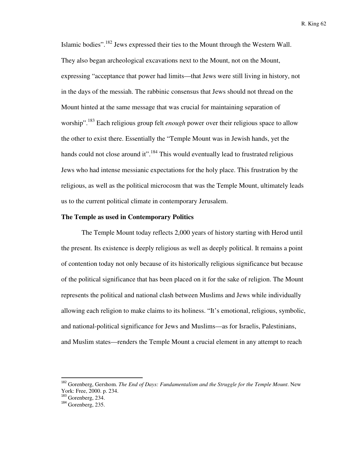Islamic bodies".<sup>182</sup> Jews expressed their ties to the Mount through the Western Wall. They also began archeological excavations next to the Mount, not on the Mount, expressing "acceptance that power had limits—that Jews were still living in history, not in the days of the messiah. The rabbinic consensus that Jews should not thread on the Mount hinted at the same message that was crucial for maintaining separation of worship".<sup>183</sup> Each religious group felt *enough* power over their religious space to allow the other to exist there. Essentially the "Temple Mount was in Jewish hands, yet the hands could not close around it".<sup>184</sup> This would eventually lead to frustrated religious Jews who had intense messianic expectations for the holy place. This frustration by the religious, as well as the political microcosm that was the Temple Mount, ultimately leads us to the current political climate in contemporary Jerusalem.

#### **The Temple as used in Contemporary Politics**

 The Temple Mount today reflects 2,000 years of history starting with Herod until the present. Its existence is deeply religious as well as deeply political. It remains a point of contention today not only because of its historically religious significance but because of the political significance that has been placed on it for the sake of religion. The Mount represents the political and national clash between Muslims and Jews while individually allowing each religion to make claims to its holiness. "It's emotional, religious, symbolic, and national-political significance for Jews and Muslims—as for Israelis, Palestinians, and Muslim states—renders the Temple Mount a crucial element in any attempt to reach

<sup>182</sup> Gorenberg, Gershom. *The End of Days: Fundamentalism and the Struggle for the Temple Mount*. New York: Free, 2000. p. 234.

<sup>&</sup>lt;sup>183</sup> Gorenberg, 234.

 $184$  Gorenberg, 235.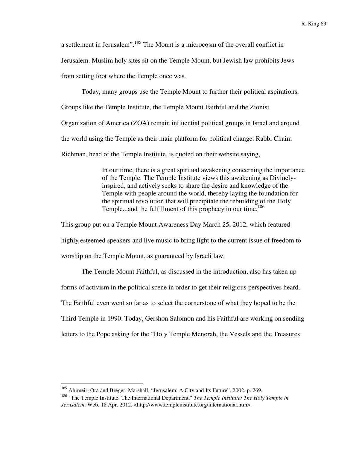a settlement in Jerusalem".<sup>185</sup> The Mount is a microcosm of the overall conflict in Jerusalem. Muslim holy sites sit on the Temple Mount, but Jewish law prohibits Jews from setting foot where the Temple once was.

 Today, many groups use the Temple Mount to further their political aspirations. Groups like the Temple Institute, the Temple Mount Faithful and the Zionist Organization of America (ZOA) remain influential political groups in Israel and around the world using the Temple as their main platform for political change. Rabbi Chaim Richman, head of the Temple Institute, is quoted on their website saying,

> In our time, there is a great spiritual awakening concerning the importance of the Temple. The Temple Institute views this awakening as Divinelyinspired, and actively seeks to share the desire and knowledge of the Temple with people around the world, thereby laying the foundation for the spiritual revolution that will precipitate the rebuilding of the Holy Temple...and the fulfillment of this prophecy in our time.<sup>186</sup>

This group put on a Temple Mount Awareness Day March 25, 2012, which featured highly esteemed speakers and live music to bring light to the current issue of freedom to worship on the Temple Mount, as guaranteed by Israeli law.

 The Temple Mount Faithful, as discussed in the introduction, also has taken up forms of activism in the political scene in order to get their religious perspectives heard. The Faithful even went so far as to select the cornerstone of what they hoped to be the Third Temple in 1990. Today, Gershon Salomon and his Faithful are working on sending letters to the Pope asking for the "Holy Temple Menorah, the Vessels and the Treasures

<sup>&</sup>lt;sup>185</sup> Ahimeir, Ora and Breger, Marshall. "Jerusalem: A City and Its Future". 2002. p. 269.

<sup>186</sup> "The Temple Institute: The International Department." *The Temple Institute: The Holy Temple in Jerusalem*. Web. 18 Apr. 2012. <http://www.templeinstitute.org/international.htm>.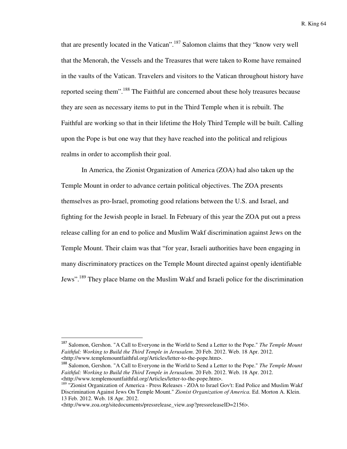that are presently located in the Vatican".<sup>187</sup> Salomon claims that they "know very well that the Menorah, the Vessels and the Treasures that were taken to Rome have remained in the vaults of the Vatican. Travelers and visitors to the Vatican throughout history have reported seeing them".<sup>188</sup> The Faithful are concerned about these holy treasures because they are seen as necessary items to put in the Third Temple when it is rebuilt. The Faithful are working so that in their lifetime the Holy Third Temple will be built. Calling upon the Pope is but one way that they have reached into the political and religious realms in order to accomplish their goal.

 In America, the Zionist Organization of America (ZOA) had also taken up the Temple Mount in order to advance certain political objectives. The ZOA presents themselves as pro-Israel, promoting good relations between the U.S. and Israel, and fighting for the Jewish people in Israel. In February of this year the ZOA put out a press release calling for an end to police and Muslim Wakf discrimination against Jews on the Temple Mount. Their claim was that "for year, Israeli authorities have been engaging in many discriminatory practices on the Temple Mount directed against openly identifiable Jews".<sup>189</sup> They place blame on the Muslim Wakf and Israeli police for the discrimination

<sup>187</sup> Salomon, Gershon. "A Call to Everyone in the World to Send a Letter to the Pope." *The Temple Mount Faithful: Working to Build the Third Temple in Jerusalem*. 20 Feb. 2012. Web. 18 Apr. 2012. <http://www.templemountfaithful.org/Articles/letter-to-the-pope.htm>.

<sup>188</sup> Salomon, Gershon. "A Call to Everyone in the World to Send a Letter to the Pope." *The Temple Mount Faithful: Working to Build the Third Temple in Jerusalem*. 20 Feb. 2012. Web. 18 Apr. 2012. <http://www.templemountfaithful.org/Articles/letter-to-the-pope.htm>.

<sup>&</sup>lt;sup>189</sup> "Zionist Organization of America - Press Releases - ZOA to Israel Gov't: End Police and Muslim Wakf Discrimination Against Jews On Temple Mount." *Zionist Organization of America.* Ed. Morton A. Klein. 13 Feb. 2012. Web. 18 Apr. 2012.

<sup>&</sup>lt;http://www.zoa.org/sitedocuments/pressrelease\_view.asp?pressreleaseID=2156>.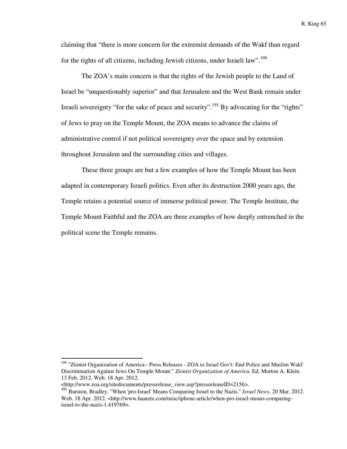claiming that "there is more concern for the extremist demands of the Wakf than regard for the rights of all citizens, including Jewish citizens, under Israeli law".<sup>190</sup>

The ZOA's main concern is that the rights of the Jewish people to the Land of Israel be "unquestionably superior" and that Jerusalem and the West Bank remain under Israeli sovereignty "for the sake of peace and security".<sup>191</sup> By advocating for the "rights" of Jews to pray on the Temple Mount, the ZOA means to advance the claims of administrative control if not political sovereignty over the space and by extension throughout Jerusalem and the surrounding cities and villages.

 These three groups are but a few examples of how the Temple Mount has been adapted in contemporary Israeli politics. Even after its destruction 2000 years ago, the Temple retains a potential source of immerse political power. The Temple Institute, the Temple Mount Faithful and the ZOA are three examples of how deeply entrenched in the political scene the Temple remains.

<sup>&</sup>lt;sup>190</sup> "Zionist Organization of America - Press Releases - ZOA to Israel Gov't: End Police and Muslim Wakf Discrimination Against Jews On Temple Mount." *Zionist Organization of America.* Ed. Morton A. Klein. 13 Feb. 2012. Web. 18 Apr. 2012.

<sup>&</sup>lt;http://www.zoa.org/sitedocuments/pressrelease\_view.asp?pressreleaseID=2156>.

<sup>191</sup> Burston, Bradley. "When 'pro-Israel' Means Comparing Israel to the Nazis." *Israel News*. 20 Mar. 2012. Web. 18 Apr. 2012. <http://www.haaretz.com/misc/iphone-article/when-pro-israel-means-comparingisrael-to-the-nazis-1.419769>.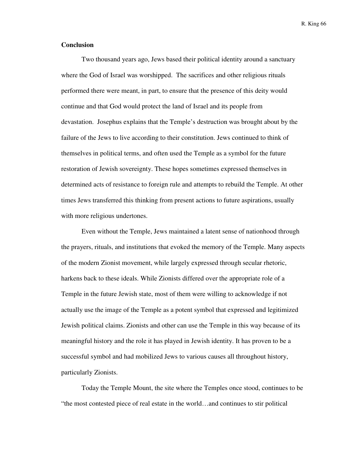## **Conclusion**

Two thousand years ago, Jews based their political identity around a sanctuary where the God of Israel was worshipped. The sacrifices and other religious rituals performed there were meant, in part, to ensure that the presence of this deity would continue and that God would protect the land of Israel and its people from devastation. Josephus explains that the Temple's destruction was brought about by the failure of the Jews to live according to their constitution. Jews continued to think of themselves in political terms, and often used the Temple as a symbol for the future restoration of Jewish sovereignty. These hopes sometimes expressed themselves in determined acts of resistance to foreign rule and attempts to rebuild the Temple. At other times Jews transferred this thinking from present actions to future aspirations, usually with more religious undertones.

Even without the Temple, Jews maintained a latent sense of nationhood through the prayers, rituals, and institutions that evoked the memory of the Temple. Many aspects of the modern Zionist movement, while largely expressed through secular rhetoric, harkens back to these ideals. While Zionists differed over the appropriate role of a Temple in the future Jewish state, most of them were willing to acknowledge if not actually use the image of the Temple as a potent symbol that expressed and legitimized Jewish political claims. Zionists and other can use the Temple in this way because of its meaningful history and the role it has played in Jewish identity. It has proven to be a successful symbol and had mobilized Jews to various causes all throughout history, particularly Zionists.

Today the Temple Mount, the site where the Temples once stood, continues to be "the most contested piece of real estate in the world…and continues to stir political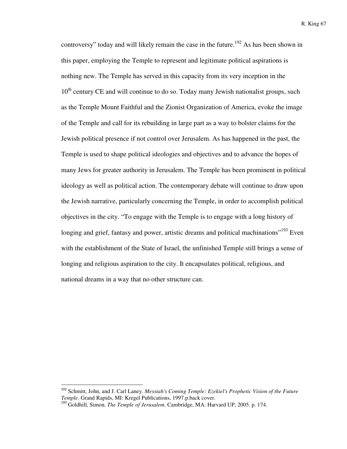controversy" today and will likely remain the case in the future.<sup>192</sup> As has been shown in this paper, employing the Temple to represent and legitimate political aspirations is nothing new. The Temple has served in this capacity from its very inception in the  $10<sup>th</sup>$  century CE and will continue to do so. Today many Jewish nationalist groups, such as the Temple Mount Faithful and the Zionist Organization of America, evoke the image of the Temple and call for its rebuilding in large part as a way to bolster claims for the Jewish political presence if not control over Jerusalem. As has happened in the past, the Temple is used to shape political ideologies and objectives and to advance the hopes of many Jews for greater authority in Jerusalem. The Temple has been prominent in political ideology as well as political action. The contemporary debate will continue to draw upon the Jewish narrative, particularly concerning the Temple, in order to accomplish political objectives in the city. "To engage with the Temple is to engage with a long history of longing and grief, fantasy and power, artistic dreams and political machinations<sup>"193</sup> Even with the establishment of the State of Israel, the unfinished Temple still brings a sense of longing and religious aspiration to the city. It encapsulates political, religious, and national dreams in a way that no other structure can.

<sup>192</sup> Schmitt, John, and J. Carl Laney. *Messiah's Coming Temple: Ezekiel's Prophetic Vision of the Future Temple*. Grand Rapids, MI: Kregel Publications, 1997.p.back cover.

<sup>193</sup> Goldhill, Simon. *The Temple of Jerusalem*. Cambridge, MA: Harvard UP, 2005. p. 174.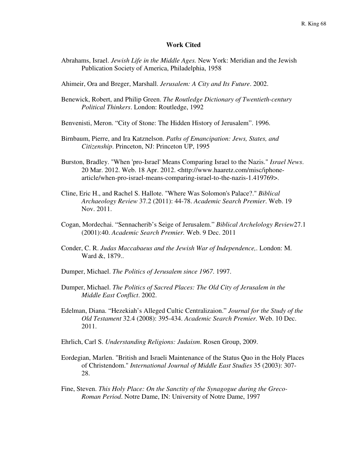## **Work Cited**

- Abrahams, Israel. *Jewish Life in the Middle Ages.* New York: Meridian and the Jewish Publication Society of America, Philadelphia, 1958
- Ahimeir, Ora and Breger, Marshall. *Jerusalem: A City and Its Future*. 2002.
- Benewick, Robert, and Philip Green. *The Routledge Dictionary of Twentieth-century Political Thinkers*. London: Routledge, 1992
- Benvenisti, Meron. "City of Stone: The Hidden History of Jerusalem". 1996.
- Birnbaum, Pierre, and Ira Katznelson. *Paths of Emancipation: Jews, States, and Citizenship*. Princeton, NJ: Princeton UP, 1995
- Burston, Bradley. "When 'pro-Israel' Means Comparing Israel to the Nazis." *Israel News*. 20 Mar. 2012. Web. 18 Apr. 2012. <http://www.haaretz.com/misc/iphonearticle/when-pro-israel-means-comparing-israel-to-the-nazis-1.419769>.
- Cline, Eric H., and Rachel S. Hallote. "Where Was Solomon's Palace?." *Biblical Archaeology Review* 37.2 (2011): 44-78. *Academic Search Premier*. Web. 19 Nov. 2011.
- Cogan, Mordechai. "Sennacherib's Seige of Jerusalem." *Biblical Archelology Review*27.1 (2001):40. *Academic Search Premier.* Web. 9 Dec. 2011
- Conder, C. R. *Judas Maccabaeus and the Jewish War of Independence,*. London: M. Ward &, 1879..
- Dumper, Michael. *The Politics of Jerusalem since 1967*. 1997.
- Dumper, Michael. *The Politics of Sacred Places: The Old City of Jerusalem in the Middle East Conflict*. 2002.
- Edelman, Diana. "Hezekiah's Alleged Cultic Centralizaion." *Journal for the Study of the Old Testament* 32.4 (2008): 395-434. *Academic Search Premier.* Web. 10 Dec. 2011.
- Ehrlich, Carl S. *Understanding Religions: Judaism*. Rosen Group, 2009.
- Eordegian, Marlen. "British and Israeli Maintenance of the Status Quo in the Holy Places of Christendom." *International Journal of Middle East Studies* 35 (2003): 307- 28.
- Fine, Steven. *This Holy Place: On the Sanctity of the Synagogue during the Greco-Roman Period*. Notre Dame, IN: University of Notre Dame, 1997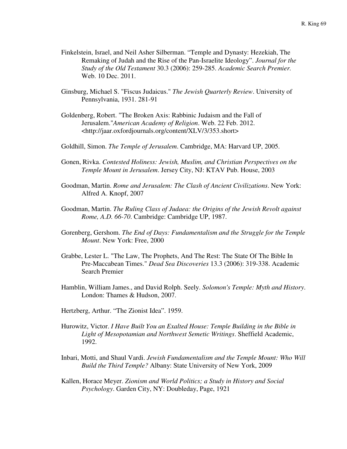- Finkelstein, Israel, and Neil Asher Silberman. "Temple and Dynasty: Hezekiah, The Remaking of Judah and the Rise of the Pan-Israelite Ideology". *Journal for the Study of the Old Testament* 30.3 (2006): 259-285. *Academic Search Premier.*  Web. 10 Dec. 2011.
- Ginsburg, Michael S. "Fiscus Judaicus." *The Jewish Quarterly Review*. University of Pennsylvania, 1931. 281-91
- Goldenberg, Robert. "The Broken Axis: Rabbinic Judaism and the Fall of Jerusalem."*American Academy of Religion*. Web. 22 Feb. 2012. <http://jaar.oxfordjournals.org/content/XLV/3/353.short>
- Goldhill, Simon. *The Temple of Jerusalem*. Cambridge, MA: Harvard UP, 2005.
- Gonen, Rivka. *Contested Holiness: Jewish, Muslim, and Christian Perspectives on the Temple Mount in Jerusalem*. Jersey City, NJ: KTAV Pub. House, 2003
- Goodman, Martin. *Rome and Jerusalem: The Clash of Ancient Civilizations*. New York: Alfred A. Knopf, 2007
- Goodman, Martin. *The Ruling Class of Judaea: the Origins of the Jewish Revolt against Rome, A.D. 66-70*. Cambridge: Cambridge UP, 1987.
- Gorenberg, Gershom. *The End of Days: Fundamentalism and the Struggle for the Temple Mount*. New York: Free, 2000
- Grabbe, Lester L. "The Law, The Prophets, And The Rest: The State Of The Bible In Pre-Maccabean Times." *Dead Sea Discoveries* 13.3 (2006): 319-338. Academic Search Premier
- Hamblin, William James., and David Rolph. Seely. *Solomon's Temple: Myth and History*. London: Thames & Hudson, 2007.
- Hertzberg, Arthur. "The Zionist Idea". 1959.
- Hurowitz, Victor. *I Have Built You an Exalted House: Temple Building in the Bible in Light of Mesopotamian and Northwest Semetic Writings*. Sheffield Academic, 1992.
- Inbari, Motti, and Shaul Vardi. *Jewish Fundamentalism and the Temple Mount: Who Will Build the Third Temple?* Albany: State University of New York, 2009
- Kallen, Horace Meyer. *Zionism and World Politics; a Study in History and Social Psychology*. Garden City, NY: Doubleday, Page, 1921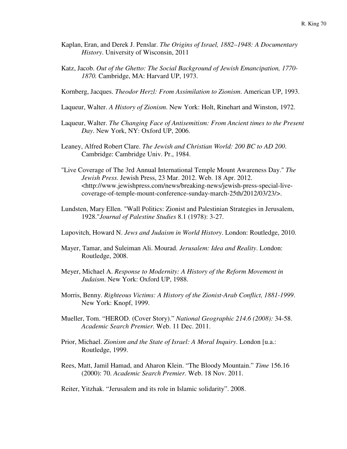- Kaplan, Eran, and Derek J. Penslar. *The Origins of Israel, 1882–1948: A Documentary History*. University of Wisconsin, 2011
- Katz, Jacob. *Out of the Ghetto: The Social Background of Jewish Emancipation, 1770- 1870.* Cambridge, MA: Harvard UP, 1973.
- Kornberg, Jacques. *Theodor Herzl: From Assimilation to Zionism*. American UP, 1993.
- Laqueur, Walter. *A History of Zionism*. New York: Holt, Rinehart and Winston, 1972.
- Laqueur, Walter. *The Changing Face of Antisemitism: From Ancient times to the Present Day*. New York, NY: Oxford UP, 2006.
- Leaney, Alfred Robert Clare. *The Jewish and Christian World: 200 BC to AD 200*. Cambridge: Cambridge Univ. Pr., 1984.
- "Live Coverage of The 3rd Annual International Temple Mount Awareness Day." *The Jewish Press*. Jewish Press, 23 Mar. 2012. Web. 18 Apr. 2012. <http://www.jewishpress.com/news/breaking-news/jewish-press-special-livecoverage-of-temple-mount-conference-sunday-march-25th/2012/03/23/>.
- Lundsten, Mary Ellen. "Wall Politics: Zionist and Palestinian Strategies in Jerusalem, 1928."*Journal of Palestine Studies* 8.1 (1978): 3-27.
- Lupovitch, Howard N. *Jews and Judaism in World History*. London: Routledge, 2010.
- Mayer, Tamar, and Suleiman Ali. Mourad. *Jerusalem: Idea and Reality*. London: Routledge, 2008.
- Meyer, Michael A. *Response to Modernity: A History of the Reform Movement in Judaism*. New York: Oxford UP, 1988.
- Morris, Benny. *Righteous Victims: A History of the Zionist-Arab Conflict, 1881-1999*. New York: Knopf, 1999.
- Mueller, Tom. "HEROD. (Cover Story)." *National Geographic 214.6 (2008):* 34-58. *Academic Search Premier.* Web. 11 Dec. 2011.
- Prior, Michael. *Zionism and the State of Israel: A Moral Inquiry*. London [u.a.: Routledge, 1999.
- Rees, Matt, Jamil Hamad, and Aharon Klein. "The Bloody Mountain." *Time* 156.16 (2000): 70. *Academic Search Premier.* Web. 18 Nov. 2011.

Reiter, Yitzhak. "Jerusalem and its role in Islamic solidarity". 2008.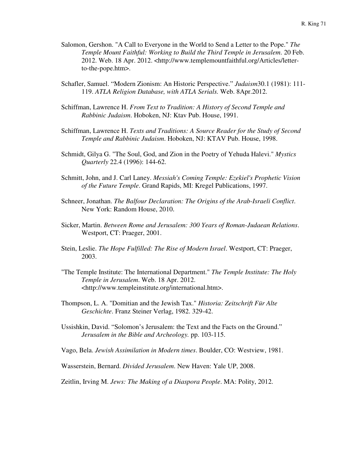- Salomon, Gershon. "A Call to Everyone in the World to Send a Letter to the Pope." *The Temple Mount Faithful: Working to Build the Third Temple in Jerusalem*. 20 Feb. 2012. Web. 18 Apr. 2012. <http://www.templemountfaithful.org/Articles/letterto-the-pope.htm>.
- Schafler, Samuel. "Modern Zionism: An Historic Perspective." *Judaism*30.1 (1981): 111- 119. *ATLA Religion Database, with ATLA Serials.* Web. 8Apr.2012.
- Schiffman, Lawrence H. *From Text to Tradition: A History of Second Temple and Rabbinic Judaism*. Hoboken, NJ: Ktav Pub. House, 1991.
- Schiffman, Lawrence H. *Texts and Traditions: A Source Reader for the Study of Second Temple and Rabbinic Judaism*. Hoboken, NJ: KTAV Pub. House, 1998.
- Schmidt, Gilya G. "The Soul, God, and Zion in the Poetry of Yehuda Halevi." *Mystics Quarterly* 22.4 (1996): 144-62.
- Schmitt, John, and J. Carl Laney. *Messiah's Coming Temple: Ezekiel's Prophetic Vision of the Future Temple*. Grand Rapids, MI: Kregel Publications, 1997.
- Schneer, Jonathan. *The Balfour Declaration: The Origins of the Arab-Israeli Conflict*. New York: Random House, 2010.
- Sicker, Martin. *Between Rome and Jerusalem: 300 Years of Roman-Judaean Relations*. Westport, CT: Praeger, 2001.
- Stein, Leslie. *The Hope Fulfilled: The Rise of Modern Israel*. Westport, CT: Praeger, 2003.
- "The Temple Institute: The International Department." *The Temple Institute: The Holy Temple in Jerusalem*. Web. 18 Apr. 2012. <http://www.templeinstitute.org/international.htm>.
- Thompson, L. A. "Domitian and the Jewish Tax." *Historia: Zeitschrift Für Alte Geschichte*. Franz Steiner Verlag, 1982. 329-42.
- Ussishkin, David. "Solomon's Jerusalem: the Text and the Facts on the Ground." *Jerusalem in the Bible and Archeology.* pp. 103-115.

Vago, Bela. *Jewish Assimilation in Modern times*. Boulder, CO: Westview, 1981.

Wasserstein, Bernard. *Divided Jerusalem*. New Haven: Yale UP, 2008.

Zeitlin, Irving M. *Jews: The Making of a Diaspora People*. MA: Polity, 2012.